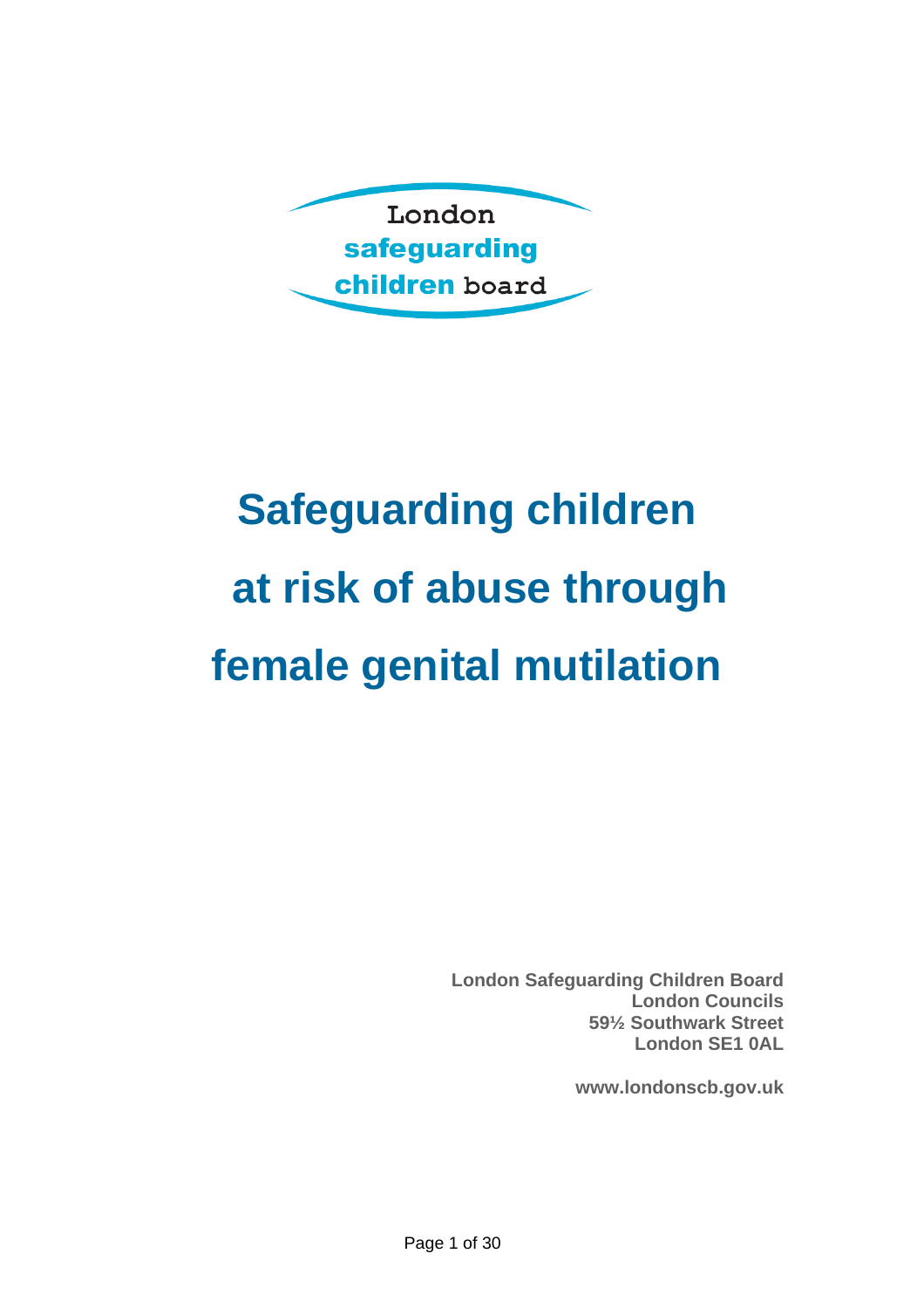

# **Safeguarding children at risk of abuse through female genital mutilation**

**London Safeguarding Children Board London Councils 59½ Southwark Street London SE1 0AL** 

**www.londonscb.gov.uk**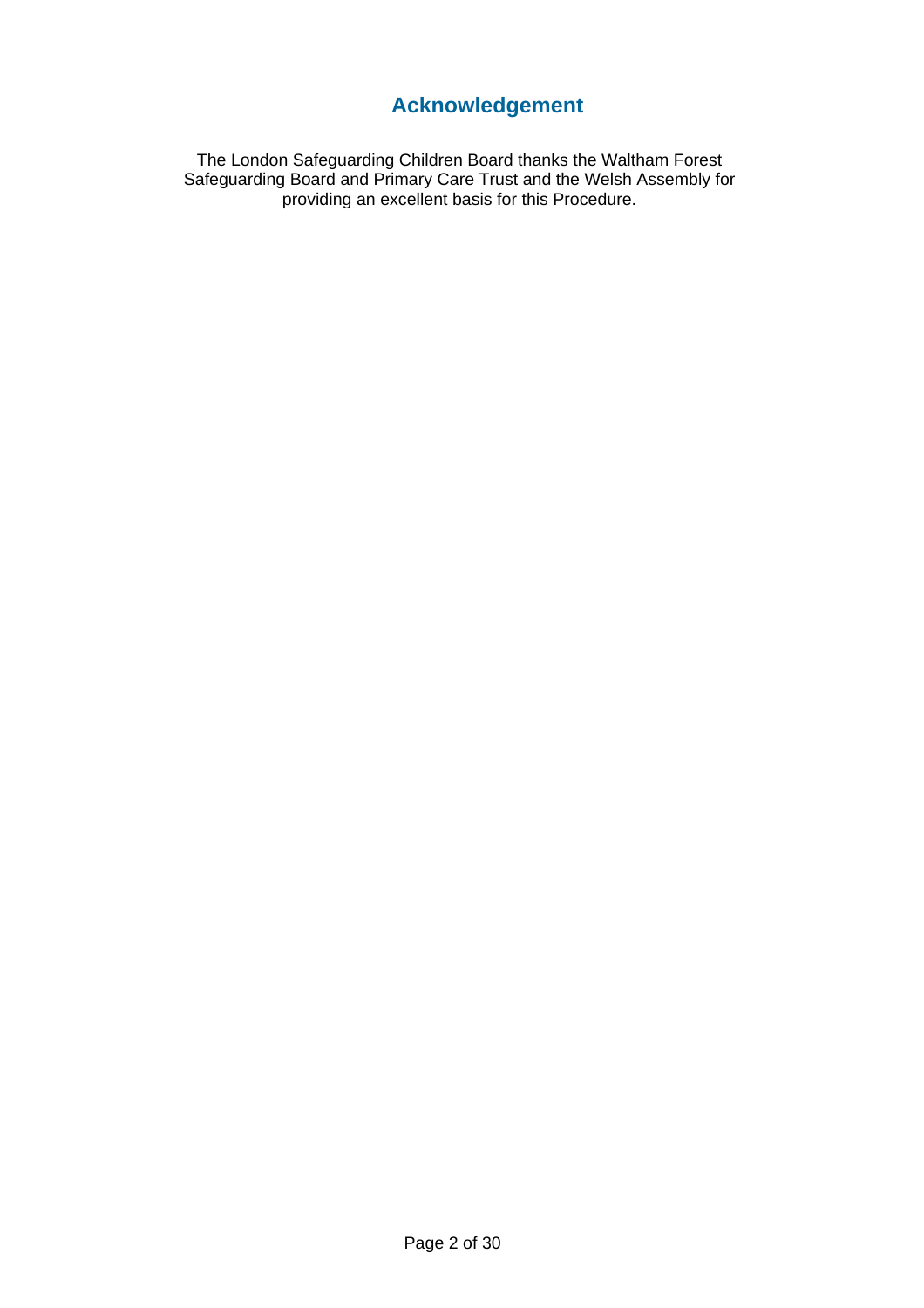# **Acknowledgement**

The London Safeguarding Children Board thanks the Waltham Forest Safeguarding Board and Primary Care Trust and the Welsh Assembly for providing an excellent basis for this Procedure.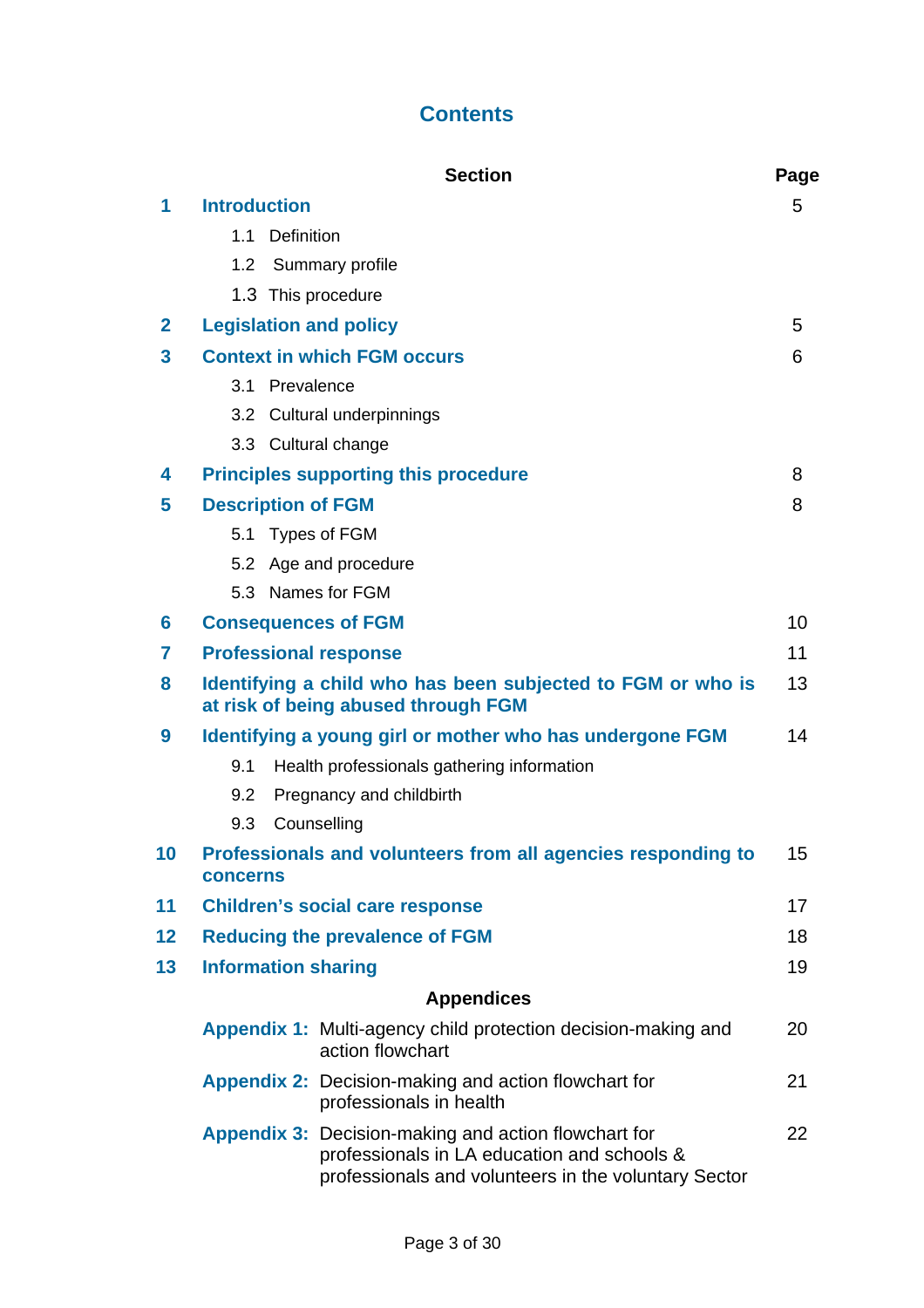# **Contents**

|                         |                                                                                                    |                               | <b>Section</b>                                                                                                                                                     | Page |  |
|-------------------------|----------------------------------------------------------------------------------------------------|-------------------------------|--------------------------------------------------------------------------------------------------------------------------------------------------------------------|------|--|
| 1                       | <b>Introduction</b>                                                                                |                               |                                                                                                                                                                    |      |  |
|                         |                                                                                                    | 1.1 Definition                |                                                                                                                                                                    |      |  |
|                         |                                                                                                    |                               | 1.2 Summary profile                                                                                                                                                |      |  |
|                         |                                                                                                    |                               | 1.3 This procedure                                                                                                                                                 |      |  |
| $\mathbf{2}$            |                                                                                                    | <b>Legislation and policy</b> |                                                                                                                                                                    |      |  |
| $\overline{\mathbf{3}}$ | <b>Context in which FGM occurs</b>                                                                 |                               |                                                                                                                                                                    | 6    |  |
|                         |                                                                                                    | 3.1 Prevalence                |                                                                                                                                                                    |      |  |
|                         |                                                                                                    |                               | 3.2 Cultural underpinnings                                                                                                                                         |      |  |
|                         |                                                                                                    |                               | 3.3 Cultural change                                                                                                                                                |      |  |
| 4                       | <b>Principles supporting this procedure</b>                                                        |                               |                                                                                                                                                                    |      |  |
| 5                       | <b>Description of FGM</b>                                                                          |                               |                                                                                                                                                                    |      |  |
|                         |                                                                                                    |                               | 5.1 Types of FGM                                                                                                                                                   |      |  |
|                         |                                                                                                    |                               | 5.2 Age and procedure                                                                                                                                              |      |  |
|                         |                                                                                                    |                               | 5.3 Names for FGM                                                                                                                                                  |      |  |
| 6                       | <b>Consequences of FGM</b>                                                                         |                               |                                                                                                                                                                    |      |  |
| $\overline{7}$          | <b>Professional response</b>                                                                       |                               |                                                                                                                                                                    |      |  |
| 8                       | Identifying a child who has been subjected to FGM or who is<br>at risk of being abused through FGM |                               |                                                                                                                                                                    |      |  |
| 9                       | Identifying a young girl or mother who has undergone FGM                                           |                               |                                                                                                                                                                    |      |  |
|                         | 9.1                                                                                                |                               | Health professionals gathering information                                                                                                                         |      |  |
|                         | 9.2                                                                                                |                               | Pregnancy and childbirth                                                                                                                                           |      |  |
|                         | 9.3                                                                                                |                               | Counselling                                                                                                                                                        |      |  |
| 10                      | Professionals and volunteers from all agencies responding to<br>15<br><b>concerns</b>              |                               |                                                                                                                                                                    |      |  |
| 11                      | <b>Children's social care response</b><br>17                                                       |                               |                                                                                                                                                                    |      |  |
| 12                      | <b>Reducing the prevalence of FGM</b>                                                              |                               |                                                                                                                                                                    | 18   |  |
| 13                      | <b>Information sharing</b>                                                                         |                               |                                                                                                                                                                    |      |  |
|                         |                                                                                                    |                               | <b>Appendices</b>                                                                                                                                                  |      |  |
|                         |                                                                                                    |                               | <b>Appendix 1: Multi-agency child protection decision-making and</b><br>action flowchart                                                                           | 20   |  |
|                         |                                                                                                    |                               | <b>Appendix 2: Decision-making and action flowchart for</b><br>professionals in health                                                                             | 21   |  |
|                         |                                                                                                    |                               | <b>Appendix 3: Decision-making and action flowchart for</b><br>professionals in LA education and schools &<br>professionals and volunteers in the voluntary Sector | 22   |  |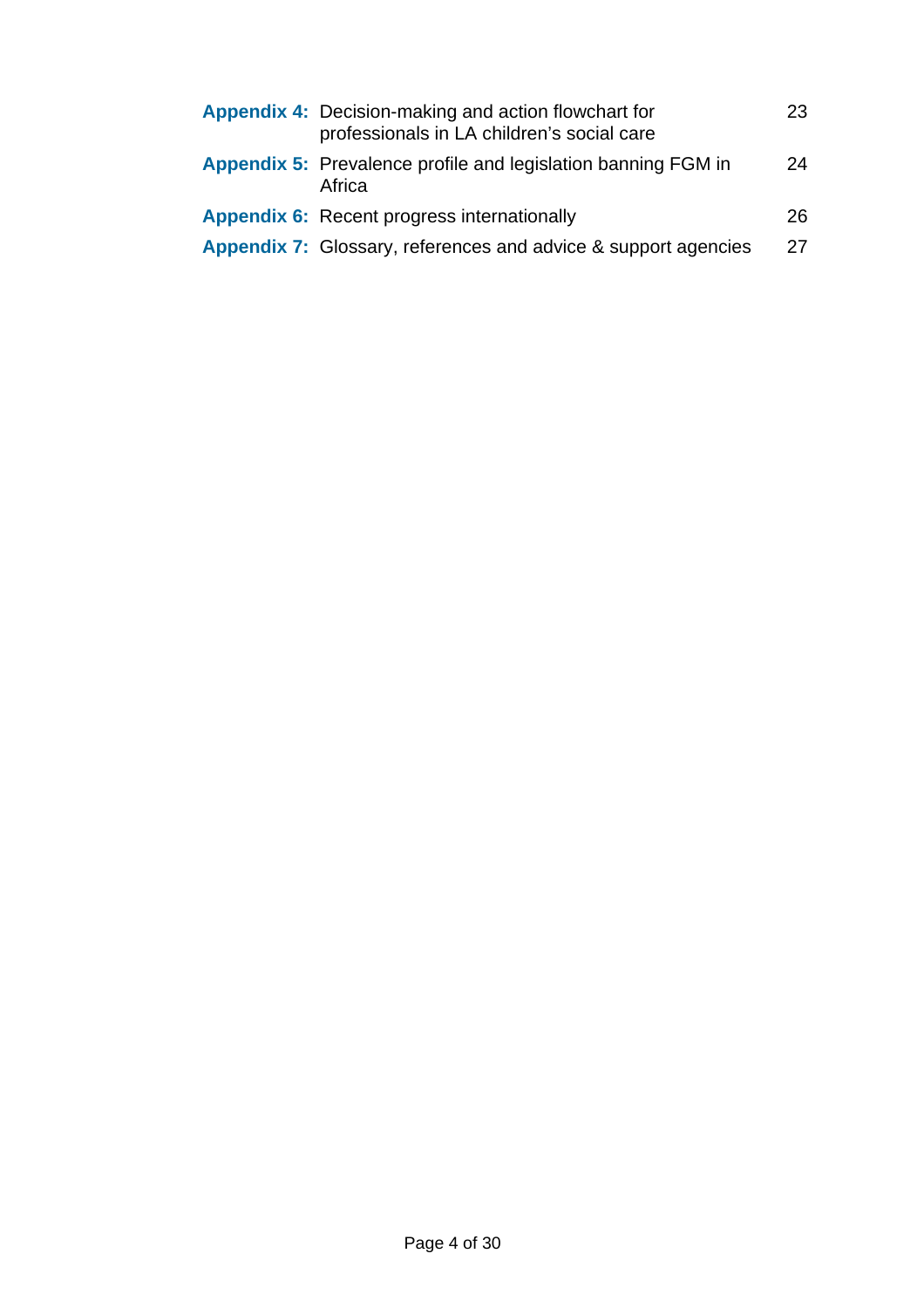| Appendix 4: Decision-making and action flowchart for<br>professionals in LA children's social care | 23 |
|----------------------------------------------------------------------------------------------------|----|
| <b>Appendix 5:</b> Prevalence profile and legislation banning FGM in<br>Africa                     | 24 |
| <b>Appendix 6:</b> Recent progress internationally                                                 | 26 |
| <b>Appendix 7:</b> Glossary, references and advice & support agencies                              | 27 |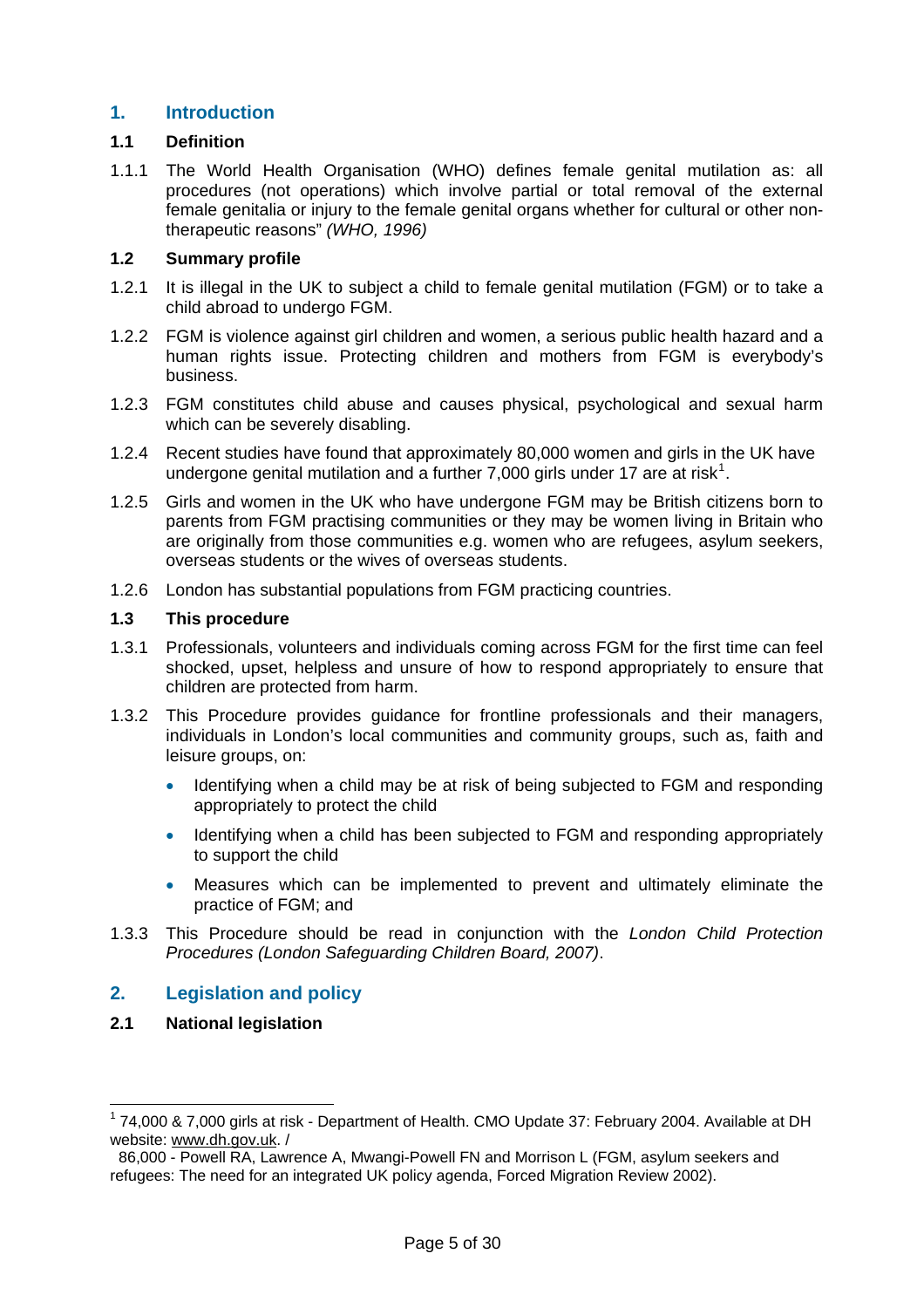## **1. Introduction**

## **1.1 Definition**

1.1.1 The World Health Organisation (WHO) defines female genital mutilation as: all procedures (not operations) which involve partial or total removal of the external female genitalia or injury to the female genital organs whether for cultural or other nontherapeutic reasons" *(WHO, 1996)* 

#### **1.2 Summary profile**

- 1.2.1 It is illegal in the UK to subject a child to female genital mutilation (FGM) or to take a child abroad to undergo FGM.
- 1.2.2 FGM is violence against girl children and women, a serious public health hazard and a human rights issue. Protecting children and mothers from FGM is everybody's business.
- 1.2.3 FGM constitutes child abuse and causes physical, psychological and sexual harm which can be severely disabling.
- 1.2.4 Recent studies have found that approximately 80,000 women and girls in the UK have undergone genital mutilation and a further 7,000 girls under [1](#page-4-0)7 are at risk<sup>1</sup>.
- 1.2.5 Girls and women in the UK who have undergone FGM may be British citizens born to parents from FGM practising communities or they may be women living in Britain who are originally from those communities e.g. women who are refugees, asylum seekers, overseas students or the wives of overseas students.
- 1.2.6 London has substantial populations from FGM practicing countries.

#### **1.3 This procedure**

- 1.3.1 Professionals, volunteers and individuals coming across FGM for the first time can feel shocked, upset, helpless and unsure of how to respond appropriately to ensure that children are protected from harm.
- 1.3.2 This Procedure provides guidance for frontline professionals and their managers, individuals in London's local communities and community groups, such as, faith and leisure groups, on:
	- Identifying when a child may be at risk of being subjected to FGM and responding appropriately to protect the child
	- Identifying when a child has been subjected to FGM and responding appropriately to support the child
	- Measures which can be implemented to prevent and ultimately eliminate the practice of FGM; and
- 1.3.3 This Procedure should be read in conjunction with the *London Child Protection Procedures (London Safeguarding Children Board, 2007)*.

## **2. Legislation and policy**

**2.1 National legislation** 

<span id="page-4-0"></span><sup>&</sup>lt;sup>1</sup> 74,000 & 7,000 girls at risk - Department of Health. CMO Update 37: February 2004. Available at DH website: [www.dh.gov.uk](http://www.dh.gov.uk/). /

 <sup>86,000 -</sup> Powell RA, Lawrence A, Mwangi-Powell FN and Morrison L (FGM, asylum seekers and refugees: The need for an integrated UK policy agenda, Forced Migration Review 2002).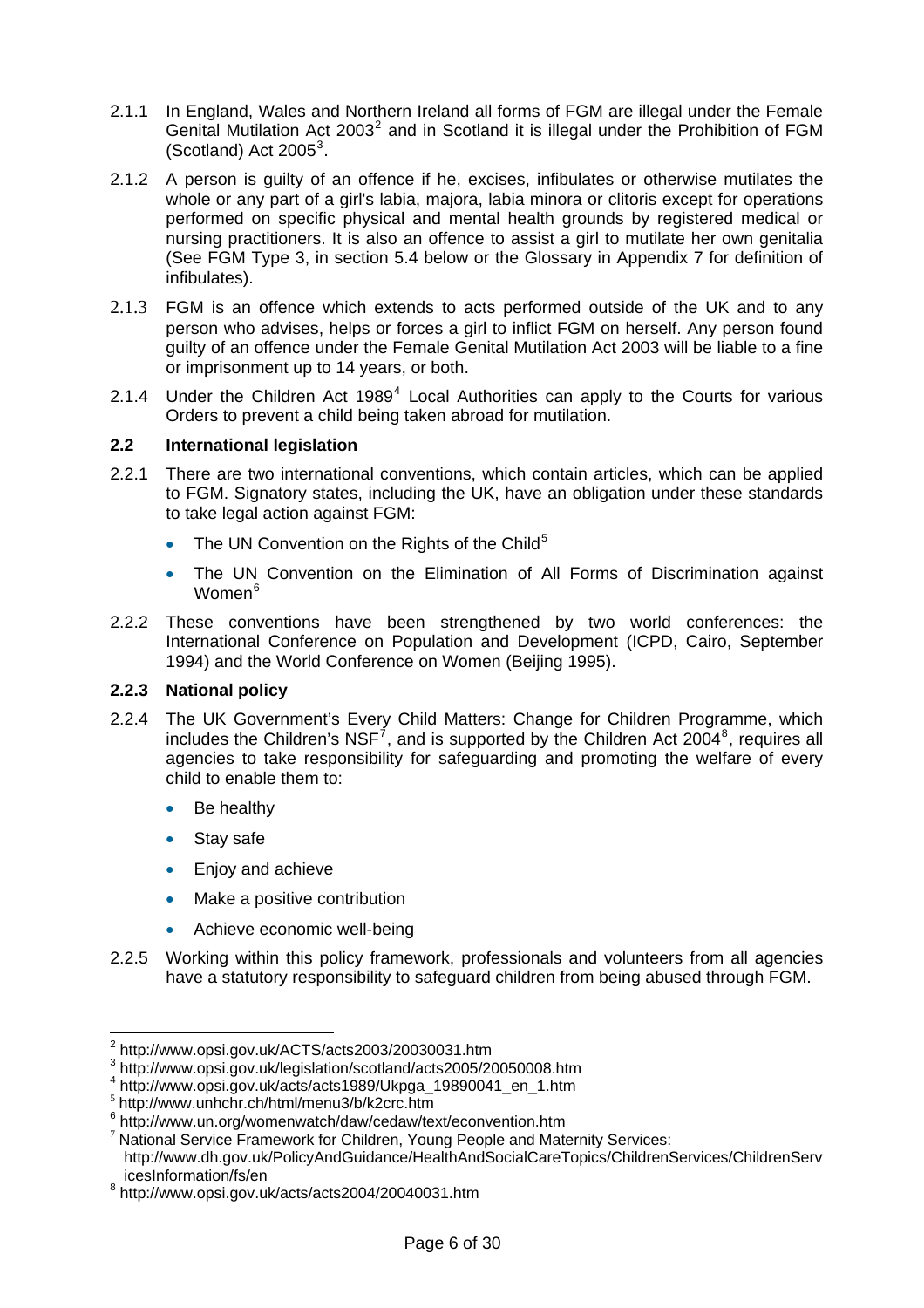- 2.1.1 In England, Wales and Northern Ireland all forms of FGM are illegal under the Female Genital Mutilation Act [2](#page-5-0)003<sup>2</sup> and in Scotland it is illegal under the Prohibition of FGM  $(Scotland)$  Act 2005<sup>[3](#page-5-1)</sup>.
- 2.1.2 A person is guilty of an offence if he, excises, infibulates or otherwise mutilates the whole or any part of a girl's labia, majora, labia minora or clitoris except for operations performed on specific physical and mental health grounds by registered medical or nursing practitioners. It is also an offence to assist a girl to mutilate her own genitalia (See FGM Type 3, in section 5.4 below or the Glossary in Appendix 7 for definition of infibulates).
- 2.1.3 FGM is an offence which extends to acts performed outside of the UK and to any person who advises, helps or forces a girl to inflict FGM on herself. Any person found guilty of an offence under the Female Genital Mutilation Act 2003 will be liable to a fine or imprisonment up to 14 years, or both.
- 2.1.[4](#page-5-2) Under the Children Act 1989 $<sup>4</sup>$  Local Authorities can apply to the Courts for various</sup> Orders to prevent a child being taken abroad for mutilation.

#### **2.2 International legislation**

- 2.2.1 There are two international conventions, which contain articles, which can be applied to FGM. Signatory states, including the UK, have an obligation under these standards to take legal action against FGM:
	- The UN Convention on the Rights of the Child<sup>[5](#page-5-3)</sup>
	- The UN Convention on the Elimination of All Forms of Discrimination against Women<sup>[6](#page-5-4)</sup>
- 2.2.2 These conventions have been strengthened by two world conferences: the International Conference on Population and Development (ICPD, Cairo, September 1994) and the World Conference on Women (Beijing 1995).

#### **2.2.3 National policy**

- 2.2.4 The UK Government's Every Child Matters: Change for Children Programme, which includes the Children's NSF<sup>[7](#page-5-5)</sup>, and is supported by the Children Act 2004<sup>[8](#page-5-6)</sup>, requires all agencies to take responsibility for safeguarding and promoting the welfare of every child to enable them to:
	- Be healthy
	- Stay safe

- Enjoy and achieve
- Make a positive contribution
- Achieve economic well-being
- 2.2.5 Working within this policy framework, professionals and volunteers from all agencies have a statutory responsibility to safeguard children from being abused through FGM.

<span id="page-5-0"></span>

 $^2$  http://www.opsi.gov.uk/ACTS/acts2003/20030031.htm<br> $^3$  http://www.opsi.gov.uk/legislation/scotland/acts2005/20050008.htm

<span id="page-5-2"></span><span id="page-5-1"></span> $^4$  http://www.opsi.gov.uk/acts/acts1989/Ukpga\_19890041\_en\_1.htm<br>  $^5$  http://www.unhchr.ch/html/menu3/b/k2crc.htm<br>  $^6$  http://www.un.org/womenwatch/daw/cedaw/text/econvention.htm

<span id="page-5-3"></span>

<span id="page-5-4"></span>

<span id="page-5-5"></span> $7$  National Service Framework for Children, Young People and Maternity Services: http://www.dh.gov.uk/PolicyAndGuidance/HealthAndSocialCareTopics/ChildrenServices/ChildrenServ icesInformation/fs/en

<span id="page-5-6"></span><sup>8</sup> http://www.opsi.gov.uk/acts/acts2004/20040031.htm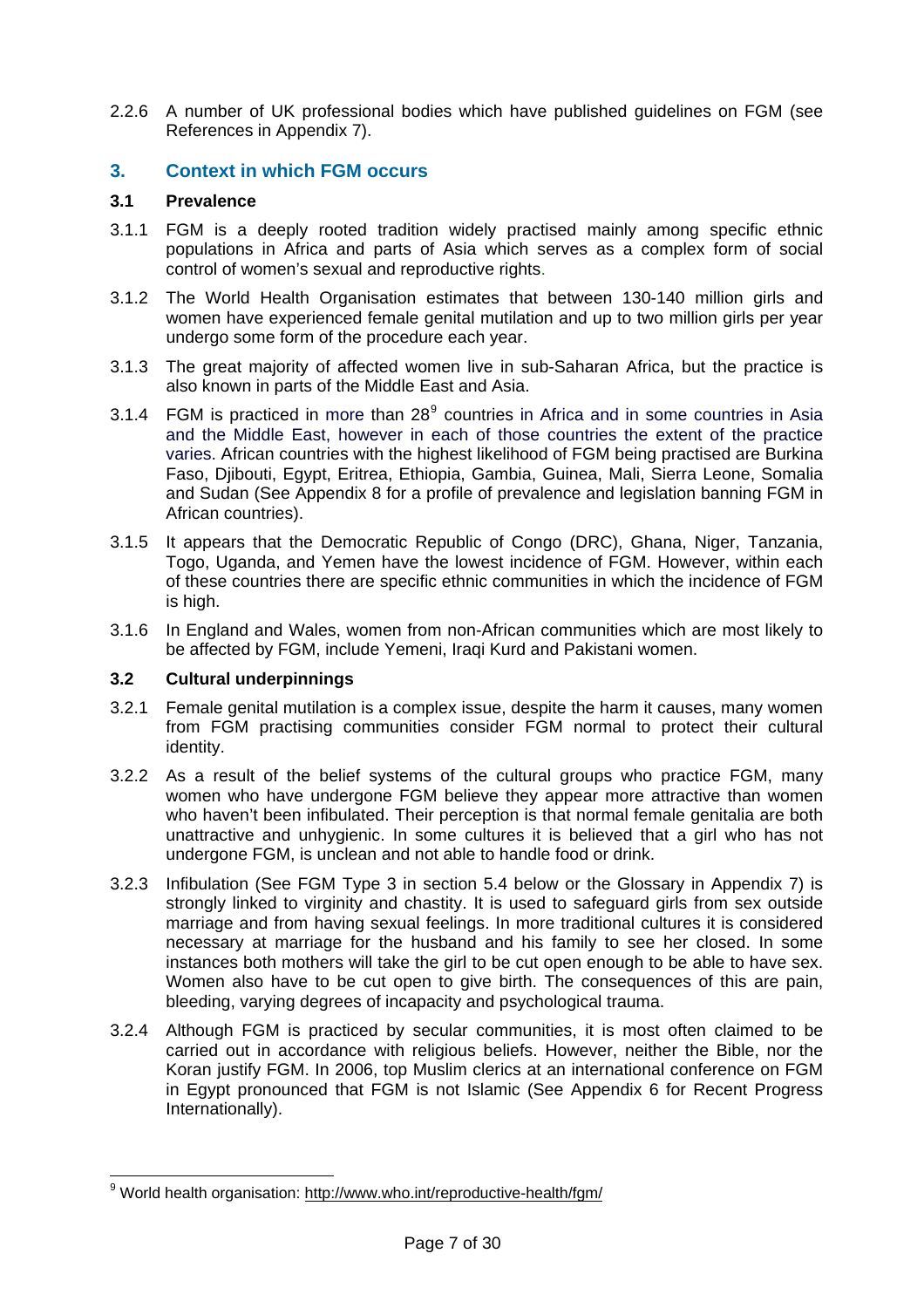2.2.6 A number of UK professional bodies which have published guidelines on FGM (see References in Appendix 7).

## **3. Context in which FGM occurs**

## **3.1 Prevalence**

- 3.1.1 FGM is a deeply rooted tradition widely practised mainly among specific ethnic populations in Africa and parts of Asia which serves as a complex form of social control of women's sexual and reproductive rights.
- 3.1.2 The World Health Organisation estimates that between 130-140 million girls and women have experienced female genital mutilation and up to two million girls per year undergo some form of the procedure each year.
- 3.1.3 The great majority of affected women live in sub-Saharan Africa, but the practice is also known in parts of the Middle East and Asia.
- 3.1.4 FGM is practiced in more than  $28<sup>9</sup>$  $28<sup>9</sup>$  $28<sup>9</sup>$  countries in Africa and in some countries in Asia and the Middle East, however in each of those countries the extent of the practice varies. African countries with the highest likelihood of FGM being practised are Burkina Faso, Djibouti, Egypt, Eritrea, Ethiopia, Gambia, Guinea, Mali, Sierra Leone, Somalia and Sudan (See Appendix 8 for a profile of prevalence and legislation banning FGM in African countries).
- 3.1.5 It appears that the Democratic Republic of Congo (DRC), Ghana, Niger, Tanzania, Togo, Uganda, and Yemen have the lowest incidence of FGM. However, within each of these countries there are specific ethnic communities in which the incidence of FGM is high.
- 3.1.6 In England and Wales, women from non-African communities which are most likely to be affected by FGM, include Yemeni, Iraqi Kurd and Pakistani women.

#### **3.2 Cultural underpinnings**

- 3.2.1 Female genital mutilation is a complex issue, despite the harm it causes, many women from FGM practising communities consider FGM normal to protect their cultural identity.
- 3.2.2 As a result of the belief systems of the cultural groups who practice FGM, many women who have undergone FGM believe they appear more attractive than women who haven't been infibulated. Their perception is that normal female genitalia are both unattractive and unhygienic. In some cultures it is believed that a girl who has not undergone FGM, is unclean and not able to handle food or drink.
- 3.2.3 Infibulation (See FGM Type 3 in section 5.4 below or the Glossary in Appendix 7) is strongly linked to virginity and chastity. It is used to safeguard girls from sex outside marriage and from having sexual feelings. In more traditional cultures it is considered necessary at marriage for the husband and his family to see her closed. In some instances both mothers will take the girl to be cut open enough to be able to have sex. Women also have to be cut open to give birth. The consequences of this are pain, bleeding, varying degrees of incapacity and psychological trauma.
- 3.2.4 Although FGM is practiced by secular communities, it is most often claimed to be carried out in accordance with religious beliefs. However, neither the Bible, nor the Koran justify FGM. In 2006, top Muslim clerics at an international conference on FGM in Egypt pronounced that FGM is not Islamic (See Appendix 6 for Recent Progress Internationally).

<span id="page-6-0"></span> $\overline{a}$ <sup>9</sup> World health organisation:<http://www.who.int/reproductive-health/fgm/>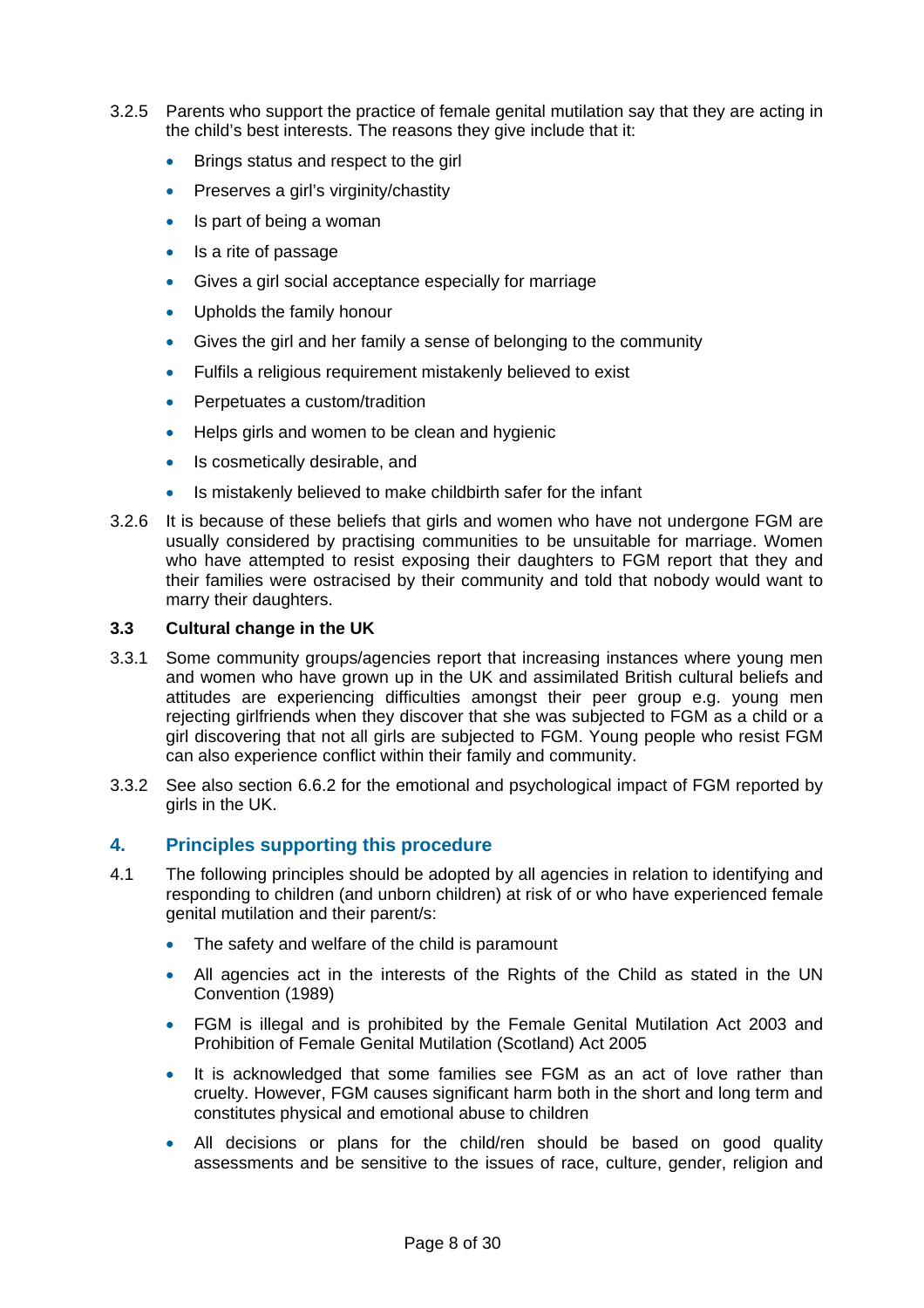- 3.2.5 Parents who support the practice of female genital mutilation say that they are acting in the child's best interests. The reasons they give include that it:
	- **Brings status and respect to the girl**
	- Preserves a girl's virginity/chastity
	- Is part of being a woman
	- Is a rite of passage
	- Gives a girl social acceptance especially for marriage
	- Upholds the family honour
	- Gives the girl and her family a sense of belonging to the community
	- Fulfils a religious requirement mistakenly believed to exist
	- Perpetuates a custom/tradition
	- Helps girls and women to be clean and hygienic
	- Is cosmetically desirable, and
	- Is mistakenly believed to make childbirth safer for the infant
- 3.2.6 It is because of these beliefs that girls and women who have not undergone FGM are usually considered by practising communities to be unsuitable for marriage. Women who have attempted to resist exposing their daughters to FGM report that they and their families were ostracised by their community and told that nobody would want to marry their daughters.

#### **3.3 Cultural change in the UK**

- 3.3.1 Some community groups/agencies report that increasing instances where young men and women who have grown up in the UK and assimilated British cultural beliefs and attitudes are experiencing difficulties amongst their peer group e.g. young men rejecting girlfriends when they discover that she was subjected to FGM as a child or a girl discovering that not all girls are subjected to FGM. Young people who resist FGM can also experience conflict within their family and community.
- 3.3.2 See also section 6.6.2 for the emotional and psychological impact of FGM reported by girls in the UK.

#### **4. Principles supporting this procedure**

- 4.1 The following principles should be adopted by all agencies in relation to identifying and responding to children (and unborn children) at risk of or who have experienced female genital mutilation and their parent/s:
	- The safety and welfare of the child is paramount
	- All agencies act in the interests of the Rights of the Child as stated in the UN Convention (1989)
	- FGM is illegal and is prohibited by the Female Genital Mutilation Act 2003 and Prohibition of Female Genital Mutilation (Scotland) Act 2005
	- It is acknowledged that some families see FGM as an act of love rather than cruelty. However, FGM causes significant harm both in the short and long term and constitutes physical and emotional abuse to children
	- All decisions or plans for the child/ren should be based on good quality assessments and be sensitive to the issues of race, culture, gender, religion and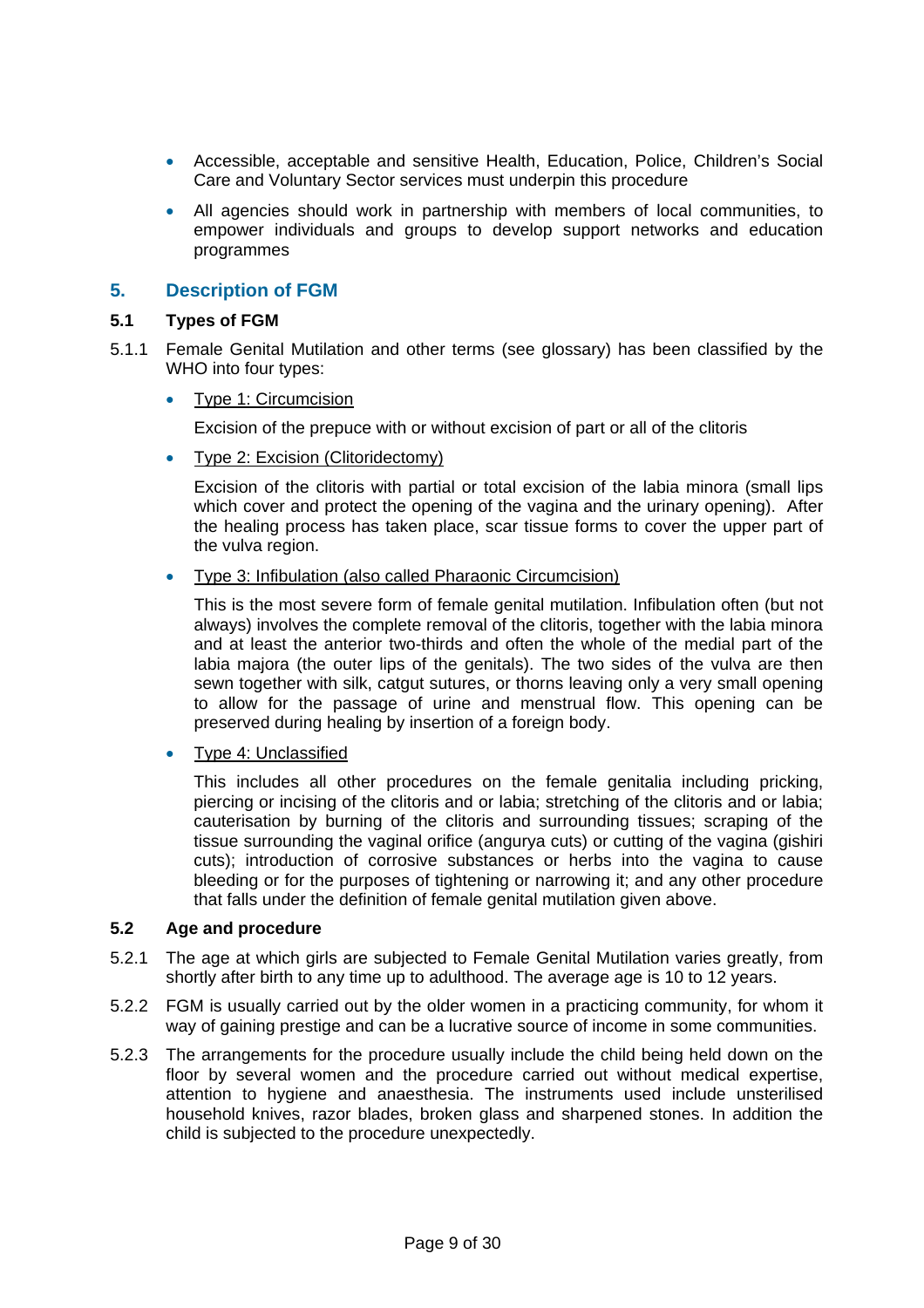- Accessible, acceptable and sensitive Health, Education, Police, Children's Social Care and Voluntary Sector services must underpin this procedure
- All agencies should work in partnership with members of local communities, to empower individuals and groups to develop support networks and education programmes

## **5. Description of FGM**

#### **5.1 Types of FGM**

- 5.1.1 Female Genital Mutilation and other terms (see glossary) has been classified by the WHO into four types:
	- Type 1: Circumcision

Excision of the prepuce with or without excision of part or all of the clitoris

• Type 2: Excision (Clitoridectomy)

Excision of the clitoris with partial or total excision of the labia minora (small lips which cover and protect the opening of the vagina and the urinary opening). After the healing process has taken place, scar tissue forms to cover the upper part of the vulva region.

Type 3: Infibulation (also called Pharaonic Circumcision)

This is the most severe form of female genital mutilation. Infibulation often (but not always) involves the complete removal of the clitoris, together with the labia minora and at least the anterior two-thirds and often the whole of the medial part of the labia majora (the outer lips of the genitals). The two sides of the vulva are then sewn together with silk, catgut sutures, or thorns leaving only a very small opening to allow for the passage of urine and menstrual flow. This opening can be preserved during healing by insertion of a foreign body.

• Type 4: Unclassified

This includes all other procedures on the female genitalia including pricking, piercing or incising of the clitoris and or labia; stretching of the clitoris and or labia; cauterisation by burning of the clitoris and surrounding tissues; scraping of the tissue surrounding the vaginal orifice (angurya cuts) or cutting of the vagina (gishiri cuts); introduction of corrosive substances or herbs into the vagina to cause bleeding or for the purposes of tightening or narrowing it; and any other procedure that falls under the definition of female genital mutilation given above.

#### **5.2 Age and procedure**

- 5.2.1 The age at which girls are subjected to Female Genital Mutilation varies greatly, from shortly after birth to any time up to adulthood. The average age is 10 to 12 years.
- 5.2.2 FGM is usually carried out by the older women in a practicing community, for whom it way of gaining prestige and can be a lucrative source of income in some communities.
- 5.2.3 The arrangements for the procedure usually include the child being held down on the floor by several women and the procedure carried out without medical expertise, attention to hygiene and anaesthesia. The instruments used include unsterilised household knives, razor blades, broken glass and sharpened stones. In addition the child is subjected to the procedure unexpectedly.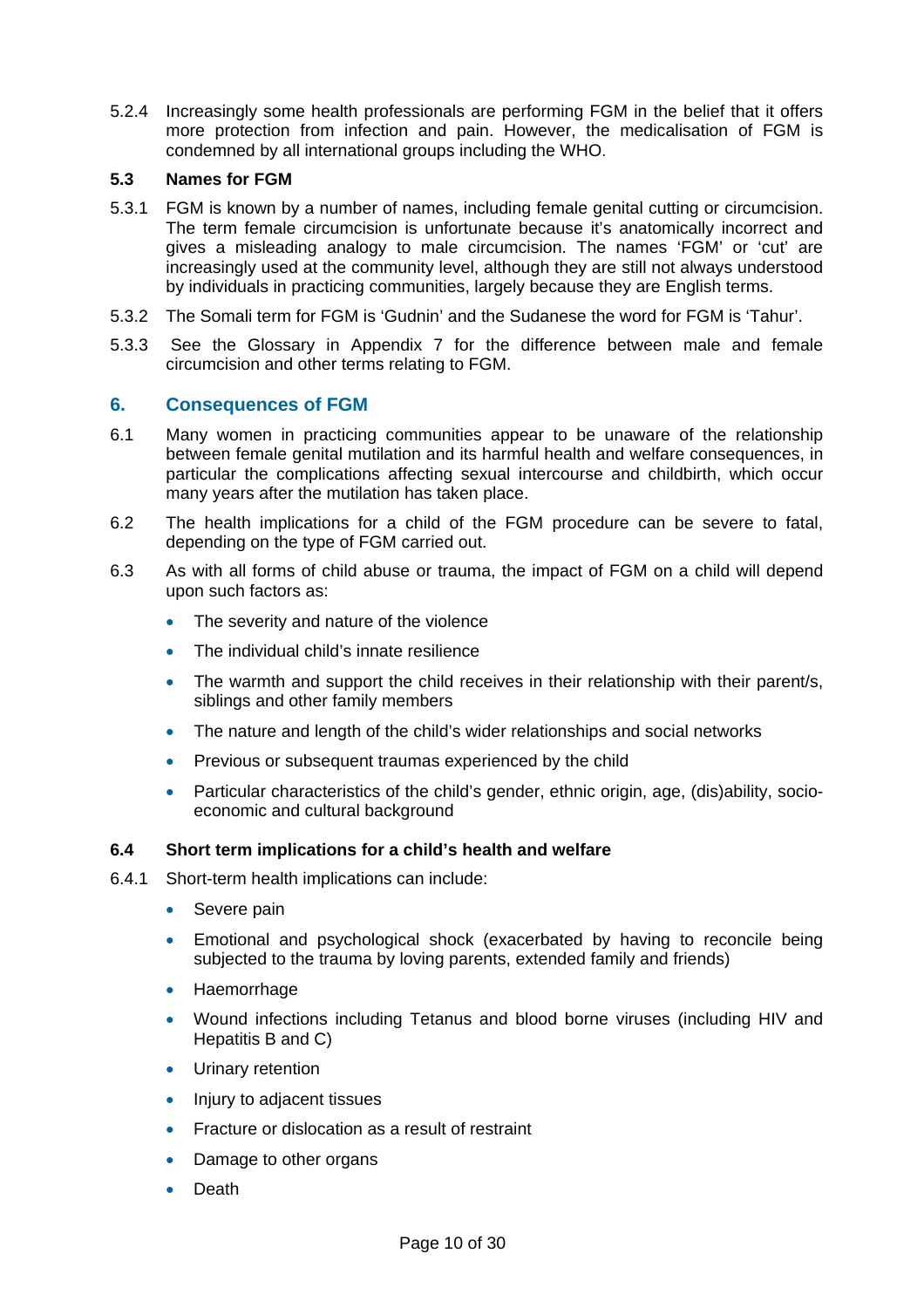5.2.4 Increasingly some health professionals are performing FGM in the belief that it offers more protection from infection and pain. However, the medicalisation of FGM is condemned by all international groups including the WHO.

#### **5.3 Names for FGM**

- 5.3.1 FGM is known by a number of names, including female genital cutting or circumcision. The term female circumcision is unfortunate because it's anatomically incorrect and gives a misleading analogy to male circumcision. The names 'FGM' or 'cut' are increasingly used at the community level, although they are still not always understood by individuals in practicing communities, largely because they are English terms.
- 5.3.2 The Somali term for FGM is 'Gudnin' and the Sudanese the word for FGM is 'Tahur'.
- 5.3.3 See the Glossary in Appendix 7 for the difference between male and female circumcision and other terms relating to FGM.

## **6. Consequences of FGM**

- 6.1 Many women in practicing communities appear to be unaware of the relationship between female genital mutilation and its harmful health and welfare consequences, in particular the complications affecting sexual intercourse and childbirth, which occur many years after the mutilation has taken place.
- 6.2 The health implications for a child of the FGM procedure can be severe to fatal, depending on the type of FGM carried out.
- 6.3 As with all forms of child abuse or trauma, the impact of FGM on a child will depend upon such factors as:
	- The severity and nature of the violence
	- The individual child's innate resilience
	- The warmth and support the child receives in their relationship with their parent/s, siblings and other family members
	- The nature and length of the child's wider relationships and social networks
	- Previous or subsequent traumas experienced by the child
	- Particular characteristics of the child's gender, ethnic origin, age, (dis)ability, socioeconomic and cultural background

#### **6.4 Short term implications for a child's health and welfare**

- 6.4.1 Short-term health implications can include:
	- Severe pain
	- Emotional and psychological shock (exacerbated by having to reconcile being subjected to the trauma by loving parents, extended family and friends)
	- Haemorrhage
	- Wound infections including Tetanus and blood borne viruses (including HIV and Hepatitis B and C)
	- Urinary retention
	- Injury to adjacent tissues
	- Fracture or dislocation as a result of restraint
	- Damage to other organs
	- Death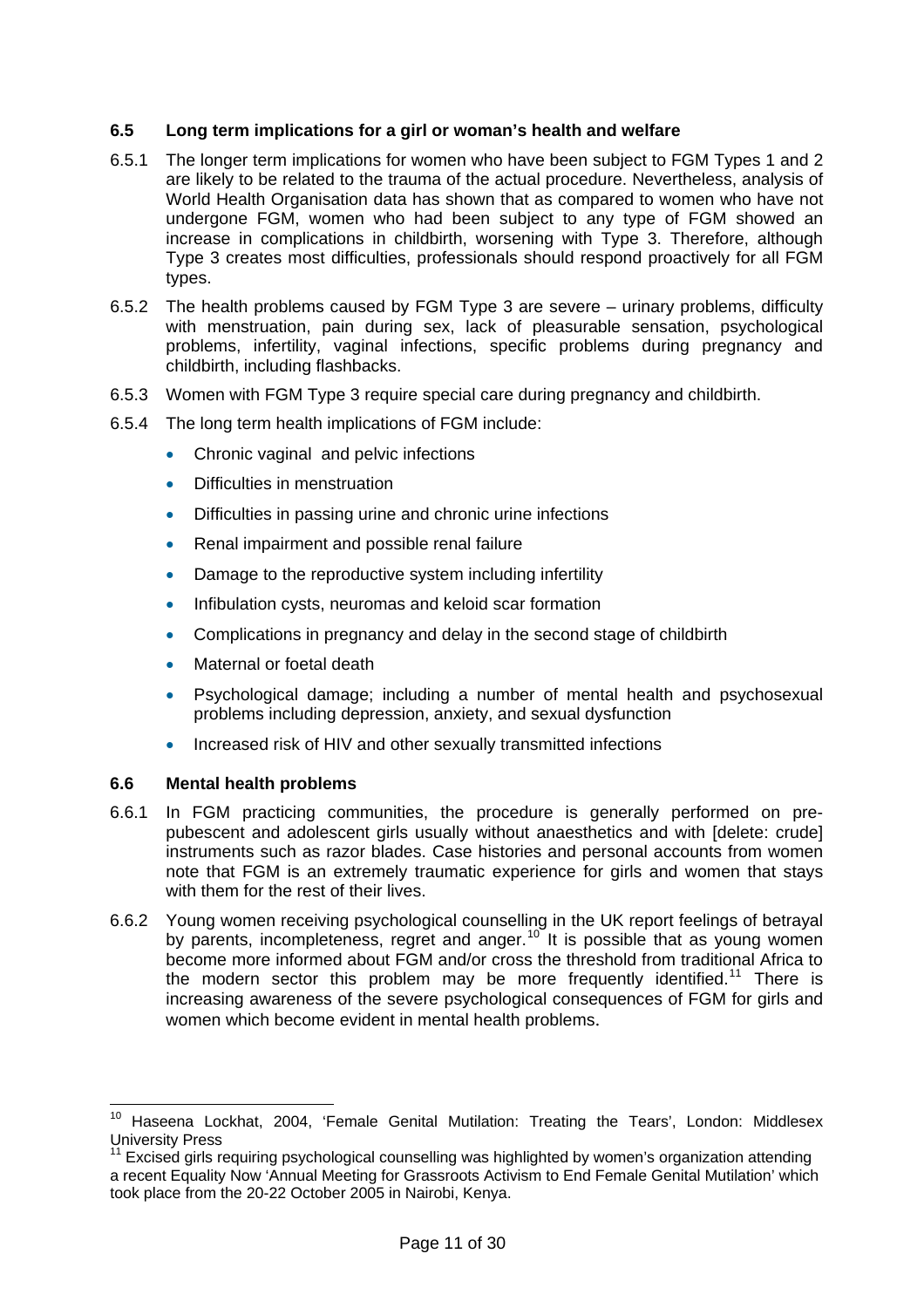#### **6.5 Long term implications for a girl or woman's health and welfare**

- 6.5.1 The longer term implications for women who have been subject to FGM Types 1 and 2 are likely to be related to the trauma of the actual procedure. Nevertheless, analysis of World Health Organisation data has shown that as compared to women who have not undergone FGM, women who had been subject to any type of FGM showed an increase in complications in childbirth, worsening with Type 3. Therefore, although Type 3 creates most difficulties, professionals should respond proactively for all FGM types.
- 6.5.2 The health problems caused by FGM Type 3 are severe urinary problems, difficulty with menstruation, pain during sex, lack of pleasurable sensation, psychological problems, infertility, vaginal infections, specific problems during pregnancy and childbirth, including flashbacks.
- 6.5.3 Women with FGM Type 3 require special care during pregnancy and childbirth.
- 6.5.4 The long term health implications of FGM include:
	- Chronic vaginal and pelvic infections
	- Difficulties in menstruation
	- Difficulties in passing urine and chronic urine infections
	- Renal impairment and possible renal failure
	- Damage to the reproductive system including infertility
	- Infibulation cysts, neuromas and keloid scar formation
	- Complications in pregnancy and delay in the second stage of childbirth
	- Maternal or foetal death
	- Psychological damage; including a number of mental health and psychosexual problems including depression, anxiety, and sexual dysfunction
	- Increased risk of HIV and other sexually transmitted infections

#### **6.6 Mental health problems**

- 6.6.1 In FGM practicing communities, the procedure is generally performed on prepubescent and adolescent girls usually without anaesthetics and with [delete: crude] instruments such as razor blades. Case histories and personal accounts from women note that FGM is an extremely traumatic experience for girls and women that stays with them for the rest of their lives.
- 6.6.2 Young women receiving psychological counselling in the UK report feelings of betrayal by parents, incompleteness, regret and anger.<sup>[10](#page-10-0)</sup> It is possible that as young women become more informed about FGM and/or cross the threshold from traditional Africa to the modern sector this problem may be more frequently identified.<sup>[11](#page-10-1)</sup> There is increasing awareness of the severe psychological consequences of FGM for girls and women which become evident in mental health problems.

<span id="page-10-0"></span><sup>&</sup>lt;sup>10</sup> Haseena Lockhat, 2004, 'Female Genital Mutilation: Treating the Tears', London: Middlesex University Press

<span id="page-10-1"></span> $11$  Excised girls requiring psychological counselling was highlighted by women's organization attending a recent Equality Now 'Annual Meeting for Grassroots Activism to End Female Genital Mutilation' which took place from the 20-22 October 2005 in Nairobi, Kenya.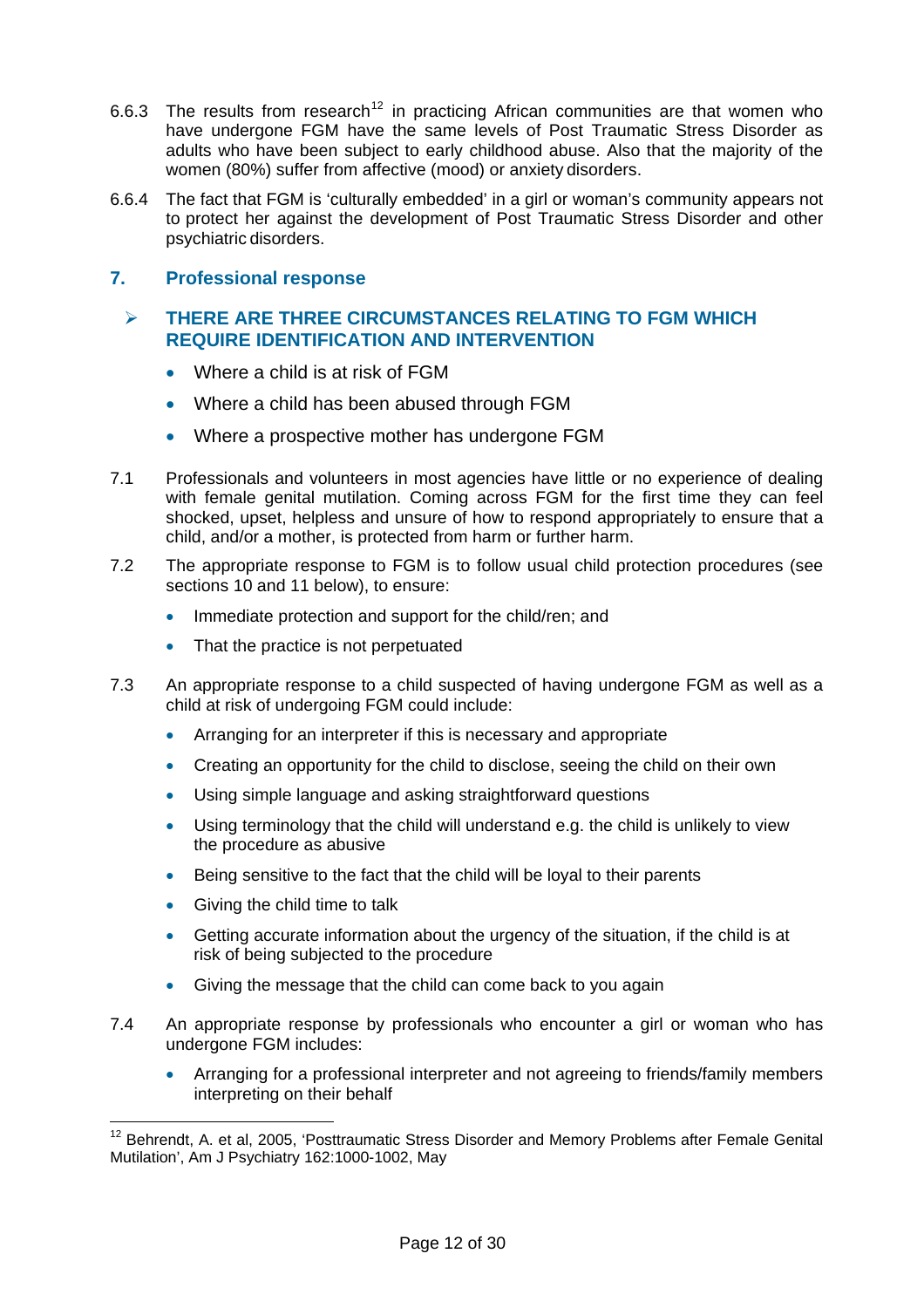- 6.6.3 The results from research<sup>[12](#page-11-0)</sup> in practicing African communities are that women who have undergone FGM have the same levels of Post Traumatic Stress Disorder as adults who have been subject to early childhood abuse. Also that the majority of the women (80%) suffer from affective (mood) or anxiety disorders.
- 6.6.4 The fact that FGM is 'culturally embedded' in a girl or woman's community appears not to protect her against the development of Post Traumatic Stress Disorder and other psychiatric disorders.

## **7. Professional response**

## **THERE ARE THREE CIRCUMSTANCES RELATING TO FGM WHICH REQUIRE IDENTIFICATION AND INTERVENTION**

- Where a child is at risk of FGM
- Where a child has been abused through FGM
- Where a prospective mother has undergone FGM
- 7.1 Professionals and volunteers in most agencies have little or no experience of dealing with female genital mutilation. Coming across FGM for the first time they can feel shocked, upset, helpless and unsure of how to respond appropriately to ensure that a child, and/or a mother, is protected from harm or further harm.
- 7.2 The appropriate response to FGM is to follow usual child protection procedures (see sections 10 and 11 below), to ensure:
	- Immediate protection and support for the child/ren; and
	- That the practice is not perpetuated
- 7.3 An appropriate response to a child suspected of having undergone FGM as well as a child at risk of undergoing FGM could include:
	- Arranging for an interpreter if this is necessary and appropriate
	- Creating an opportunity for the child to disclose, seeing the child on their own
	- Using simple language and asking straightforward questions
	- Using terminology that the child will understand e.g. the child is unlikely to view the procedure as abusive
	- Being sensitive to the fact that the child will be loyal to their parents
	- Giving the child time to talk

- Getting accurate information about the urgency of the situation, if the child is at risk of being subjected to the procedure
- Giving the message that the child can come back to you again
- 7.4 An appropriate response by professionals who encounter a girl or woman who has undergone FGM includes:
	- Arranging for a professional interpreter and not agreeing to friends/family members interpreting on their behalf

<span id="page-11-0"></span><sup>&</sup>lt;sup>12</sup> Behrendt, A. et al, 2005, 'Posttraumatic Stress Disorder and Memory Problems after Female Genital Mutilation', Am J Psychiatry 162:1000-1002, May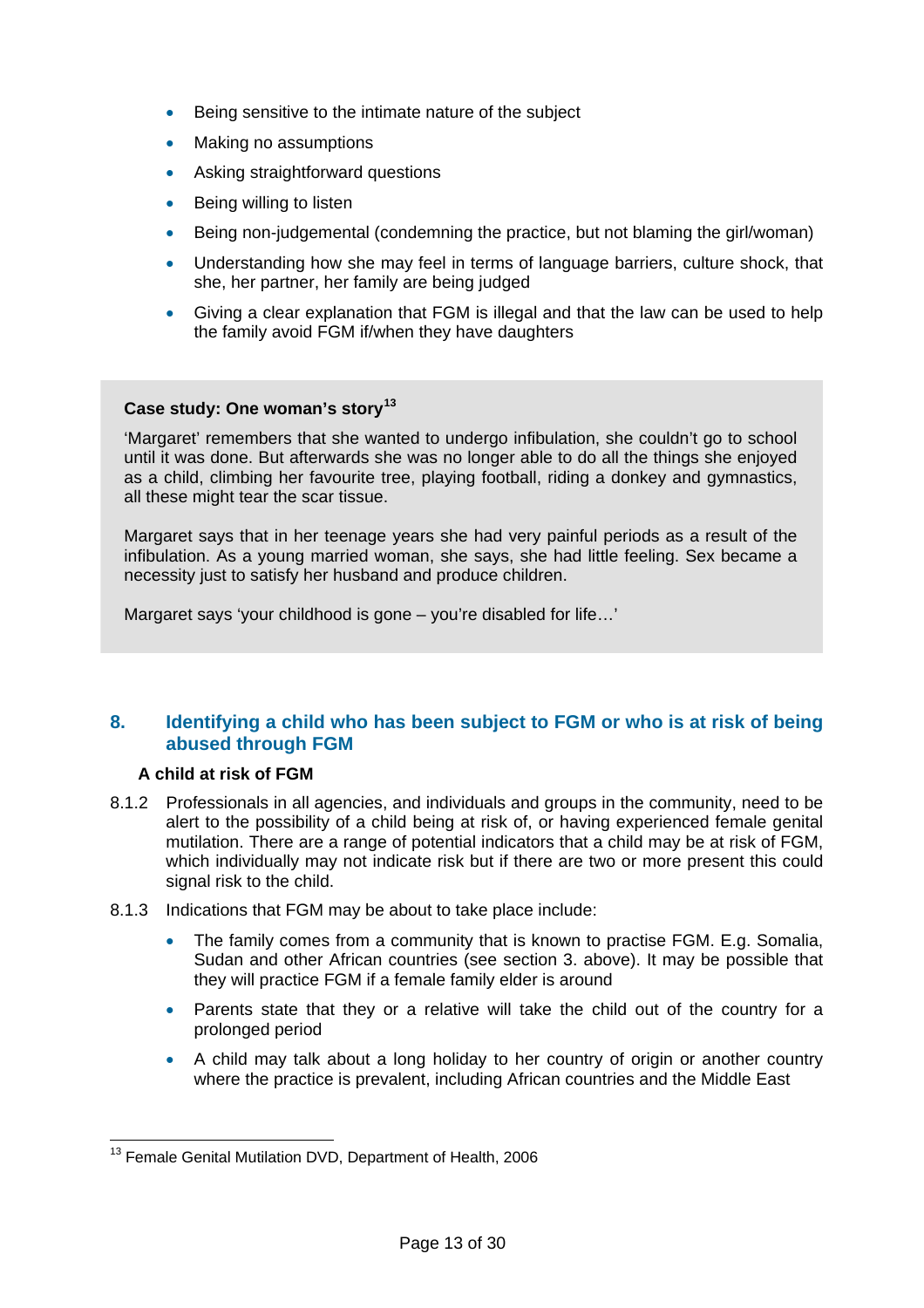- **Being sensitive to the intimate nature of the subject**
- Making no assumptions
- Asking straightforward questions
- Being willing to listen
- Being non-judgemental (condemning the practice, but not blaming the girl/woman)
- Understanding how she may feel in terms of language barriers, culture shock, that she, her partner, her family are being judged
- Giving a clear explanation that FGM is illegal and that the law can be used to help the family avoid FGM if/when they have daughters

#### **Case study: One woman's story[13](#page-12-0)**

'Margaret' remembers that she wanted to undergo infibulation, she couldn't go to school until it was done. But afterwards she was no longer able to do all the things she enjoyed as a child, climbing her favourite tree, playing football, riding a donkey and gymnastics, all these might tear the scar tissue.

Margaret says that in her teenage years she had very painful periods as a result of the infibulation. As a young married woman, she says, she had little feeling. Sex became a necessity just to satisfy her husband and produce children.

Margaret says 'your childhood is gone – you're disabled for life...'

## **8. Identifying a child who has been subject to FGM or who is at risk of being abused through FGM**

### **A child at risk of FGM**

- 8.1.2 Professionals in all agencies, and individuals and groups in the community, need to be alert to the possibility of a child being at risk of, or having experienced female genital mutilation. There are a range of potential indicators that a child may be at risk of FGM, which individually may not indicate risk but if there are two or more present this could signal risk to the child.
- 8.1.3 Indications that FGM may be about to take place include:
	- The family comes from a community that is known to practise FGM. E.g. Somalia, Sudan and other African countries (see section 3. above). It may be possible that they will practice FGM if a female family elder is around
	- Parents state that they or a relative will take the child out of the country for a prolonged period
	- A child may talk about a long holiday to her country of origin or another country where the practice is prevalent, including African countries and the Middle East

<span id="page-12-0"></span> $\overline{a}$ <sup>13</sup> Female Genital Mutilation DVD, Department of Health, 2006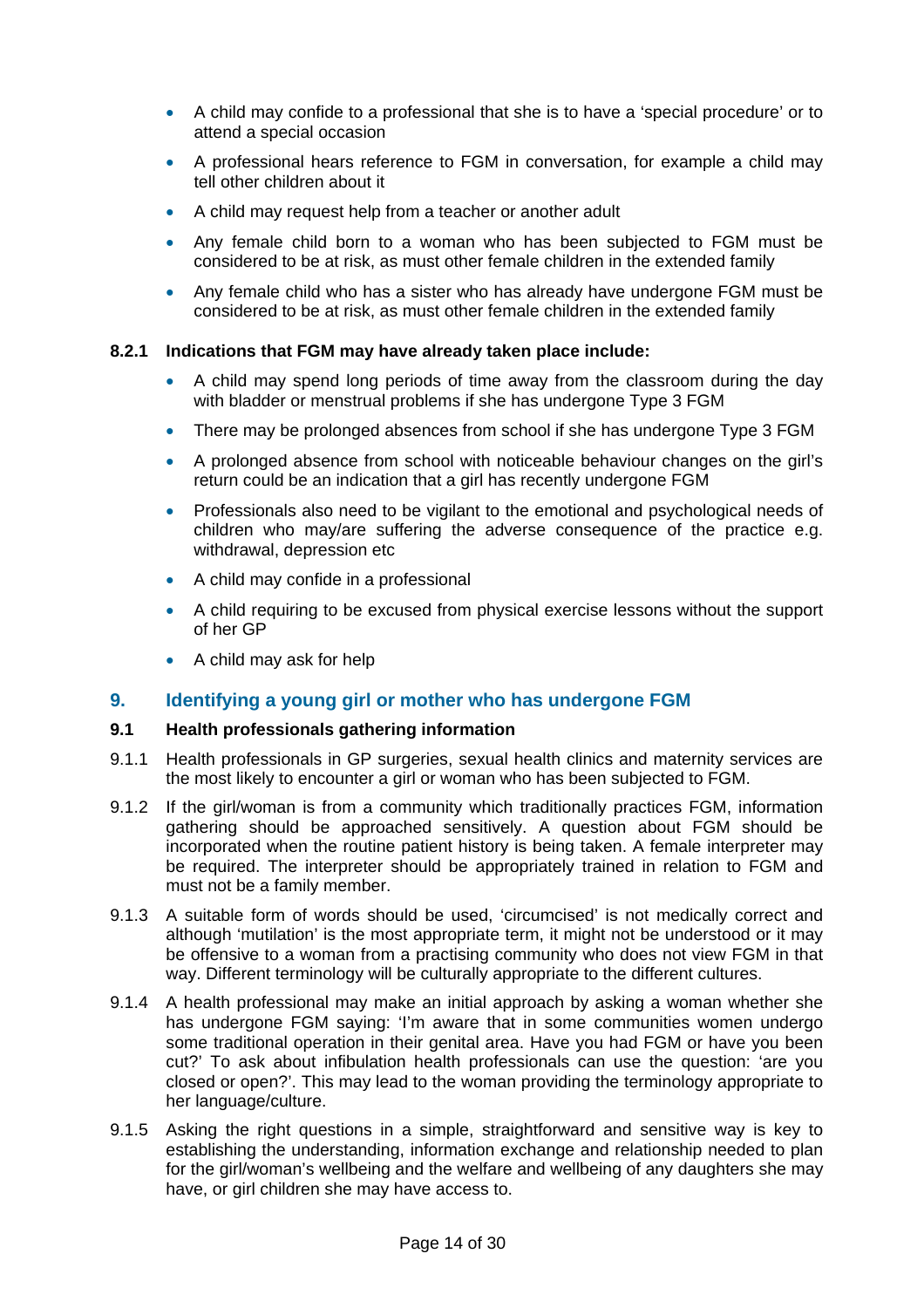- A child may confide to a professional that she is to have a 'special procedure' or to attend a special occasion
- A professional hears reference to FGM in conversation, for example a child may tell other children about it
- A child may request help from a teacher or another adult
- Any female child born to a woman who has been subjected to FGM must be considered to be at risk, as must other female children in the extended family
- Any female child who has a sister who has already have undergone FGM must be considered to be at risk, as must other female children in the extended family

#### **8.2.1 Indications that FGM may have already taken place include:**

- A child may spend long periods of time away from the classroom during the day with bladder or menstrual problems if she has undergone Type 3 FGM
- There may be prolonged absences from school if she has undergone Type 3 FGM
- A prolonged absence from school with noticeable behaviour changes on the girl's return could be an indication that a girl has recently undergone FGM
- Professionals also need to be vigilant to the emotional and psychological needs of children who may/are suffering the adverse consequence of the practice e.g. withdrawal, depression etc
- A child may confide in a professional
- A child requiring to be excused from physical exercise lessons without the support of her GP
- A child may ask for help

#### **9. Identifying a young girl or mother who has undergone FGM**

#### **9.1 Health professionals gathering information**

- 9.1.1 Health professionals in GP surgeries, sexual health clinics and maternity services are the most likely to encounter a girl or woman who has been subjected to FGM.
- 9.1.2 If the girl/woman is from a community which traditionally practices FGM, information gathering should be approached sensitively. A question about FGM should be incorporated when the routine patient history is being taken. A female interpreter may be required. The interpreter should be appropriately trained in relation to FGM and must not be a family member.
- 9.1.3 A suitable form of words should be used, 'circumcised' is not medically correct and although 'mutilation' is the most appropriate term, it might not be understood or it may be offensive to a woman from a practising community who does not view FGM in that way. Different terminology will be culturally appropriate to the different cultures.
- 9.1.4 A health professional may make an initial approach by asking a woman whether she has undergone FGM saying: 'I'm aware that in some communities women undergo some traditional operation in their genital area. Have you had FGM or have you been cut?' To ask about infibulation health professionals can use the question: 'are you closed or open?'. This may lead to the woman providing the terminology appropriate to her language/culture.
- 9.1.5 Asking the right questions in a simple, straightforward and sensitive way is key to establishing the understanding, information exchange and relationship needed to plan for the girl/woman's wellbeing and the welfare and wellbeing of any daughters she may have, or girl children she may have access to.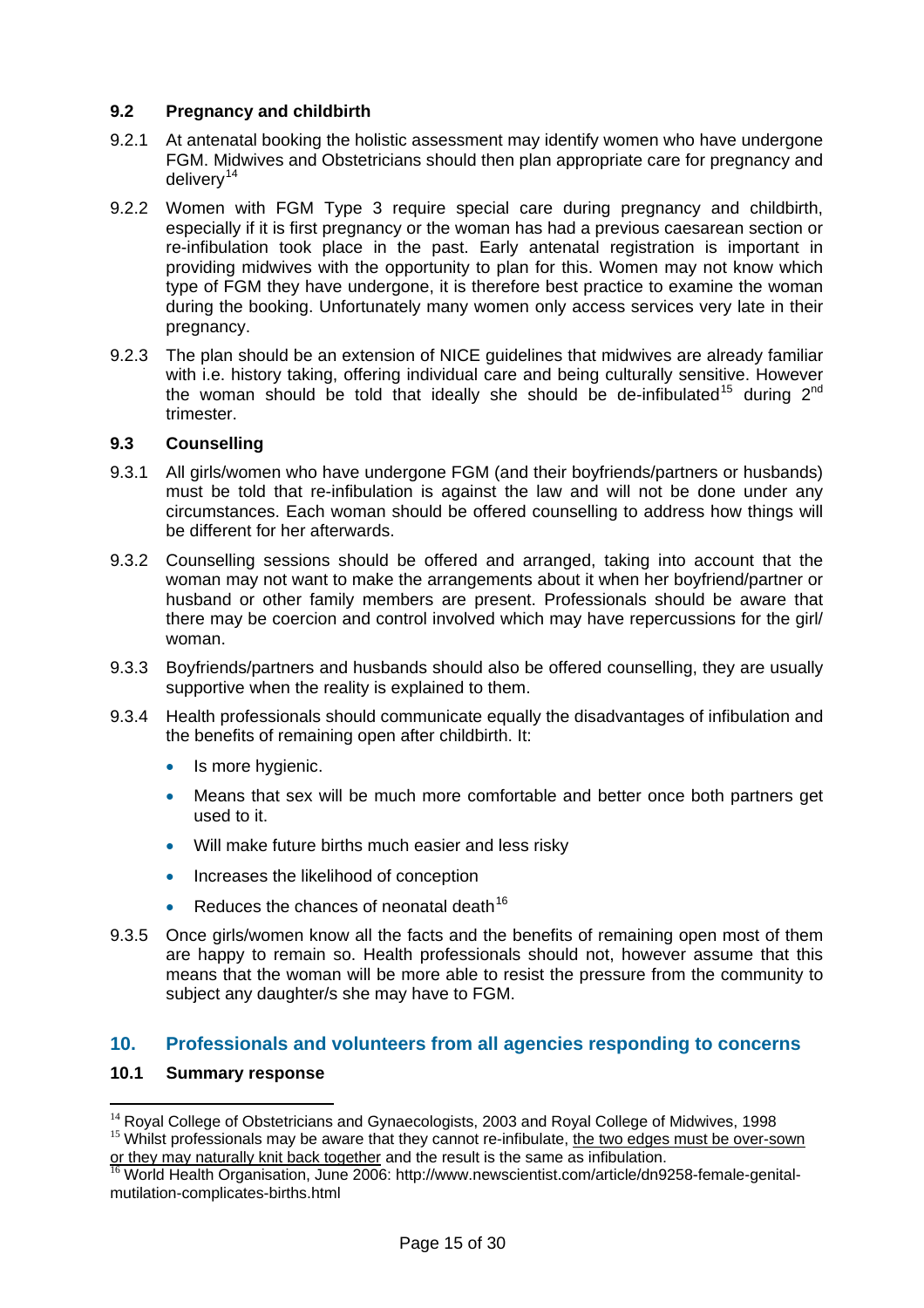## **9.2 Pregnancy and childbirth**

- 9.2.1 At antenatal booking the holistic assessment may identify women who have undergone FGM. Midwives and Obstetricians should then plan appropriate care for pregnancy and deliverv<sup>[14](#page-14-0)</sup>
- 9.2.2 Women with FGM Type 3 require special care during pregnancy and childbirth, especially if it is first pregnancy or the woman has had a previous caesarean section or re-infibulation took place in the past. Early antenatal registration is important in providing midwives with the opportunity to plan for this. Women may not know which type of FGM they have undergone, it is therefore best practice to examine the woman during the booking. Unfortunately many women only access services very late in their pregnancy.
- 9.2.3 The plan should be an extension of NICE guidelines that midwives are already familiar with i.e. history taking, offering individual care and being culturally sensitive. However the woman should be told that ideally she should be de-infibulated<sup>[15](#page-14-1)</sup> during  $2<sup>nd</sup>$ trimester.

#### **9.3 Counselling**

- 9.3.1 All girls/women who have undergone FGM (and their boyfriends/partners or husbands) must be told that re-infibulation is against the law and will not be done under any circumstances. Each woman should be offered counselling to address how things will be different for her afterwards.
- 9.3.2 Counselling sessions should be offered and arranged, taking into account that the woman may not want to make the arrangements about it when her boyfriend/partner or husband or other family members are present. Professionals should be aware that there may be coercion and control involved which may have repercussions for the girl/ woman.
- 9.3.3 Boyfriends/partners and husbands should also be offered counselling, they are usually supportive when the reality is explained to them.
- 9.3.4 Health professionals should communicate equally the disadvantages of infibulation and the benefits of remaining open after childbirth. It:
	- Is more hygienic.
	- Means that sex will be much more comfortable and better once both partners get used to it.
	- Will make future births much easier and less risky
	- Increases the likelihood of conception
	- Reduces the chances of neonatal death<sup>[16](#page-14-2)</sup>
- 9.3.5 Once girls/women know all the facts and the benefits of remaining open most of them are happy to remain so. Health professionals should not, however assume that this means that the woman will be more able to resist the pressure from the community to subject any daughter/s she may have to FGM.

## **10. Professionals and volunteers from all agencies responding to concerns**

#### **10.1 Summary response**

<span id="page-14-1"></span><span id="page-14-0"></span><sup>&</sup>lt;sup>14</sup> Royal College of Obstetricians and Gynaecologists, 2003 and Royal College of Midwives, 1998<br><sup>15</sup> Whilst professionals may be aware that they cannot re-infibulate, the two edges must be over-sown<br>or they may naturally

<span id="page-14-2"></span> $\frac{16}{16}$  World Health Organisation, June 2006: http://www.newscientist.com/article/dn9258-female-genitalmutilation-complicates-births.html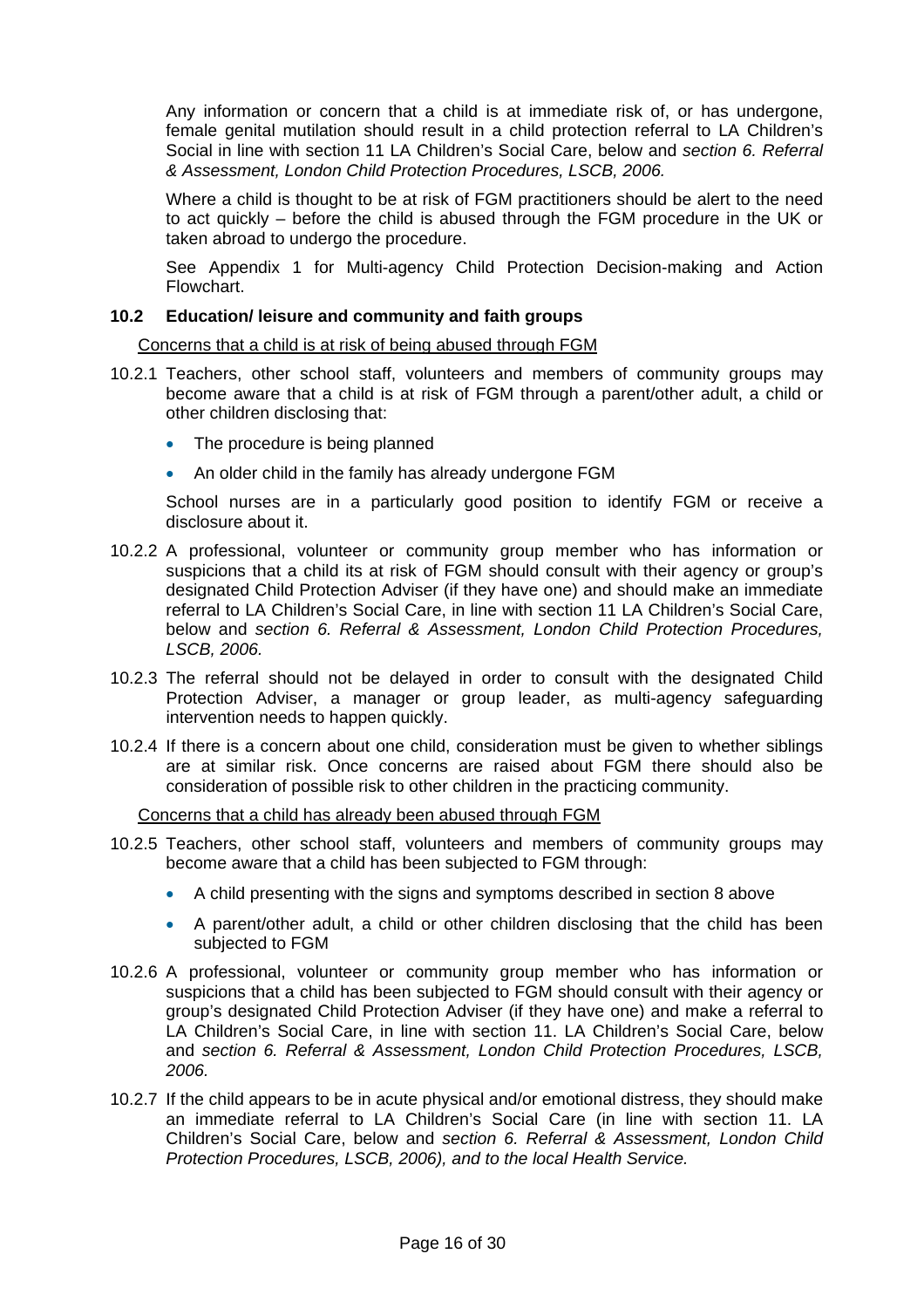Any information or concern that a child is at immediate risk of, or has undergone, female genital mutilation should result in a child protection referral to LA Children's Social in line with section 11 LA Children's Social Care, below and *section 6. Referral & Assessment, London Child Protection Procedures, LSCB, 2006.* 

Where a child is thought to be at risk of FGM practitioners should be alert to the need to act quickly – before the child is abused through the FGM procedure in the UK or taken abroad to undergo the procedure.

See Appendix 1 for Multi-agency Child Protection Decision-making and Action Flowchart.

#### **10.2 Education/ leisure and community and faith groups**

Concerns that a child is at risk of being abused through FGM

- 10.2.1 Teachers, other school staff, volunteers and members of community groups may become aware that a child is at risk of FGM through a parent/other adult, a child or other children disclosing that:
	- The procedure is being planned
	- An older child in the family has already undergone FGM

School nurses are in a particularly good position to identify FGM or receive a disclosure about it.

- 10.2.2 A professional, volunteer or community group member who has information or suspicions that a child its at risk of FGM should consult with their agency or group's designated Child Protection Adviser (if they have one) and should make an immediate referral to LA Children's Social Care, in line with section 11 LA Children's Social Care, below and *section 6. Referral & Assessment, London Child Protection Procedures, LSCB, 2006.*
- 10.2.3 The referral should not be delayed in order to consult with the designated Child Protection Adviser, a manager or group leader, as multi-agency safeguarding intervention needs to happen quickly.
- 10.2.4 If there is a concern about one child, consideration must be given to whether siblings are at similar risk. Once concerns are raised about FGM there should also be consideration of possible risk to other children in the practicing community.

Concerns that a child has already been abused through FGM

- 10.2.5 Teachers, other school staff, volunteers and members of community groups may become aware that a child has been subjected to FGM through:
	- A child presenting with the signs and symptoms described in section 8 above
	- A parent/other adult, a child or other children disclosing that the child has been subjected to FGM
- 10.2.6 A professional, volunteer or community group member who has information or suspicions that a child has been subjected to FGM should consult with their agency or group's designated Child Protection Adviser (if they have one) and make a referral to LA Children's Social Care, in line with section 11. LA Children's Social Care, below and *section 6. Referral & Assessment, London Child Protection Procedures, LSCB, 2006.*
- 10.2.7 If the child appears to be in acute physical and/or emotional distress, they should make an immediate referral to LA Children's Social Care (in line with section 11. LA Children's Social Care, below and *section 6. Referral & Assessment, London Child Protection Procedures, LSCB, 2006), and to the local Health Service.*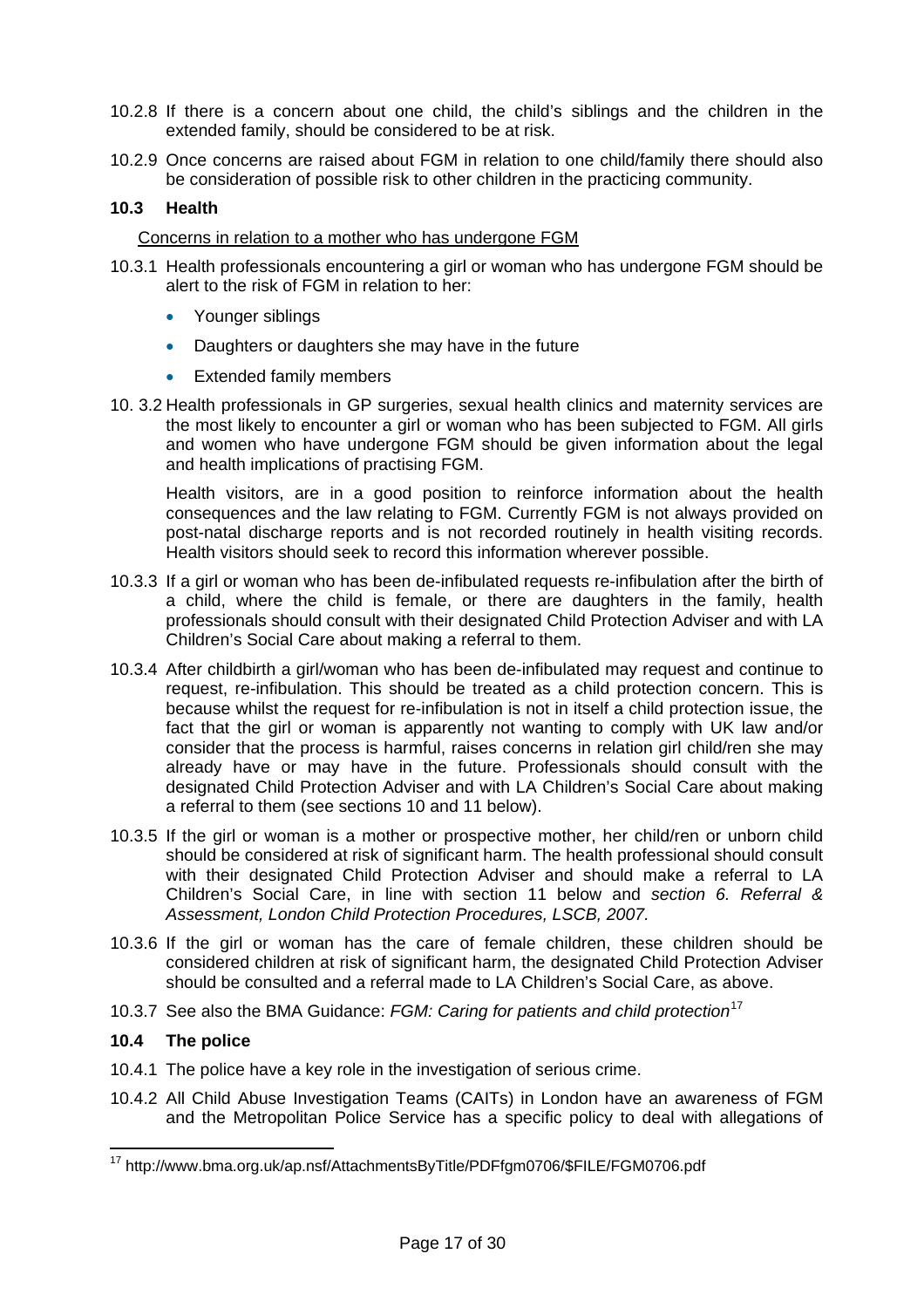- 10.2.8 If there is a concern about one child, the child's siblings and the children in the extended family, should be considered to be at risk.
- 10.2.9 Once concerns are raised about FGM in relation to one child/family there should also be consideration of possible risk to other children in the practicing community.

#### **10.3 Health**

#### Concerns in relation to a mother who has undergone FGM

- 10.3.1 Health professionals encountering a girl or woman who has undergone FGM should be alert to the risk of FGM in relation to her:
	- Younger siblings
	- Daughters or daughters she may have in the future
	- Extended family members
- 10. 3.2 Health professionals in GP surgeries, sexual health clinics and maternity services are the most likely to encounter a girl or woman who has been subjected to FGM. All girls and women who have undergone FGM should be given information about the legal and health implications of practising FGM.

Health visitors, are in a good position to reinforce information about the health consequences and the law relating to FGM. Currently FGM is not always provided on post-natal discharge reports and is not recorded routinely in health visiting records. Health visitors should seek to record this information wherever possible.

- 10.3.3 If a girl or woman who has been de-infibulated requests re-infibulation after the birth of a child, where the child is female, or there are daughters in the family, health professionals should consult with their designated Child Protection Adviser and with LA Children's Social Care about making a referral to them.
- 10.3.4 After childbirth a girl/woman who has been de-infibulated may request and continue to request, re-infibulation. This should be treated as a child protection concern. This is because whilst the request for re-infibulation is not in itself a child protection issue, the fact that the girl or woman is apparently not wanting to comply with UK law and/or consider that the process is harmful, raises concerns in relation girl child/ren she may already have or may have in the future. Professionals should consult with the designated Child Protection Adviser and with LA Children's Social Care about making a referral to them (see sections 10 and 11 below).
- 10.3.5 If the girl or woman is a mother or prospective mother, her child/ren or unborn child should be considered at risk of significant harm. The health professional should consult with their designated Child Protection Adviser and should make a referral to LA Children's Social Care, in line with section 11 below and *section 6. Referral & Assessment, London Child Protection Procedures, LSCB, 2007.*
- 10.3.6 If the girl or woman has the care of female children, these children should be considered children at risk of significant harm, the designated Child Protection Adviser should be consulted and a referral made to LA Children's Social Care, as above.
- 10.3.7 See also the BMA Guidance: *FGM: Caring for patients and child protection*[17](#page-16-0)

#### **10.4 The police**

- 10.4.1 The police have a key role in the investigation of serious crime.
- 10.4.2 All Child Abuse Investigation Teams (CAITs) in London have an awareness of FGM and the Metropolitan Police Service has a specific policy to deal with allegations of

<span id="page-16-0"></span><sup>&</sup>lt;sup>17</sup> http://www.bma.org.uk/ap.nsf/AttachmentsByTitle/PDFfgm0706/\$FILE/FGM0706.pdf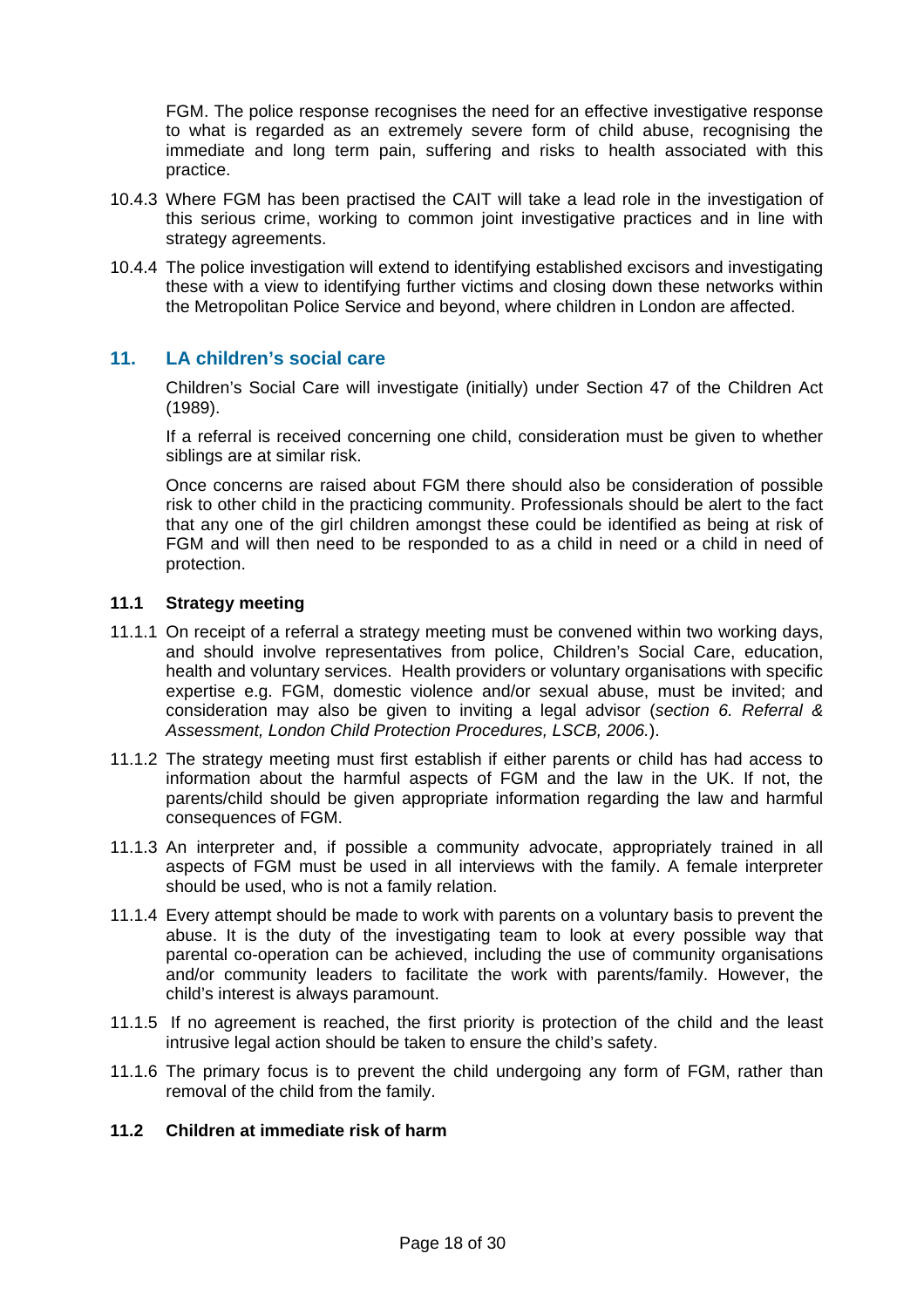FGM. The police response recognises the need for an effective investigative response to what is regarded as an extremely severe form of child abuse, recognising the immediate and long term pain, suffering and risks to health associated with this practice.

- 10.4.3 Where FGM has been practised the CAIT will take a lead role in the investigation of this serious crime, working to common joint investigative practices and in line with strategy agreements.
- 10.4.4 The police investigation will extend to identifying established excisors and investigating these with a view to identifying further victims and closing down these networks within the Metropolitan Police Service and beyond, where children in London are affected.

## **11. LA children's social care**

Children's Social Care will investigate (initially) under Section 47 of the Children Act (1989).

If a referral is received concerning one child, consideration must be given to whether siblings are at similar risk.

Once concerns are raised about FGM there should also be consideration of possible risk to other child in the practicing community. Professionals should be alert to the fact that any one of the girl children amongst these could be identified as being at risk of FGM and will then need to be responded to as a child in need or a child in need of protection.

#### **11.1 Strategy meeting**

- 11.1.1 On receipt of a referral a strategy meeting must be convened within two working days, and should involve representatives from police, Children's Social Care, education, health and voluntary services. Health providers or voluntary organisations with specific expertise e.g. FGM, domestic violence and/or sexual abuse, must be invited; and consideration may also be given to inviting a legal advisor (*section 6. Referral & Assessment, London Child Protection Procedures, LSCB, 2006.*).
- 11.1.2 The strategy meeting must first establish if either parents or child has had access to information about the harmful aspects of FGM and the law in the UK. If not, the parents/child should be given appropriate information regarding the law and harmful consequences of FGM.
- 11.1.3 An interpreter and, if possible a community advocate, appropriately trained in all aspects of FGM must be used in all interviews with the family. A female interpreter should be used, who is not a family relation.
- 11.1.4 Every attempt should be made to work with parents on a voluntary basis to prevent the abuse. It is the duty of the investigating team to look at every possible way that parental co-operation can be achieved, including the use of community organisations and/or community leaders to facilitate the work with parents/family. However, the child's interest is always paramount.
- 11.1.5 If no agreement is reached, the first priority is protection of the child and the least intrusive legal action should be taken to ensure the child's safety.
- 11.1.6 The primary focus is to prevent the child undergoing any form of FGM, rather than removal of the child from the family.

### **11.2 Children at immediate risk of harm**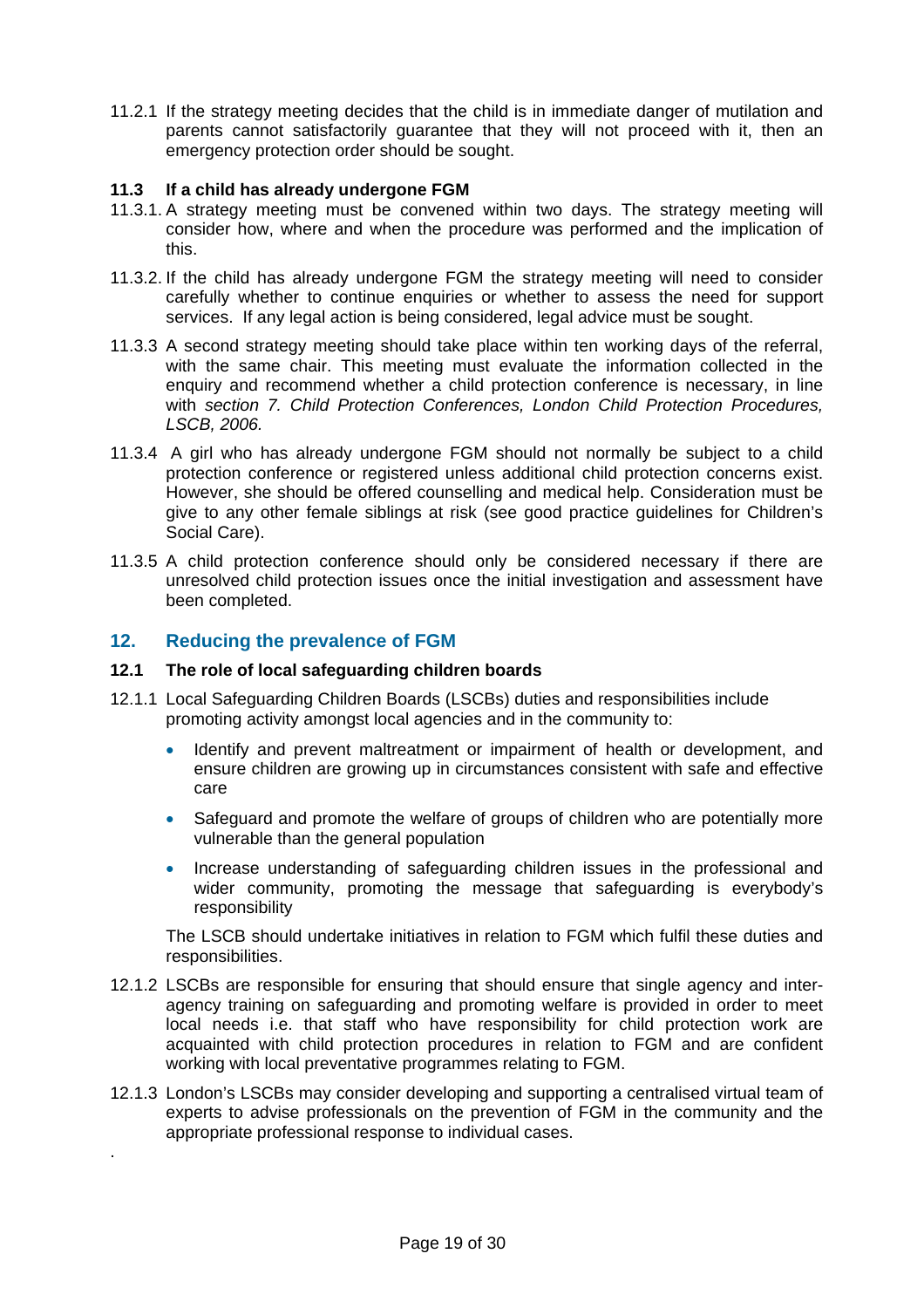11.2.1 If the strategy meeting decides that the child is in immediate danger of mutilation and parents cannot satisfactorily guarantee that they will not proceed with it, then an emergency protection order should be sought.

#### **11.3 If a child has already undergone FGM**

- 11.3.1. A strategy meeting must be convened within two days. The strategy meeting will consider how, where and when the procedure was performed and the implication of this.
- 11.3.2. If the child has already undergone FGM the strategy meeting will need to consider carefully whether to continue enquiries or whether to assess the need for support services. If any legal action is being considered, legal advice must be sought.
- 11.3.3 A second strategy meeting should take place within ten working days of the referral, with the same chair. This meeting must evaluate the information collected in the enquiry and recommend whether a child protection conference is necessary, in line with *section 7. Child Protection Conferences, London Child Protection Procedures, LSCB, 2006.*
- 11.3.4 A girl who has already undergone FGM should not normally be subject to a child protection conference or registered unless additional child protection concerns exist. However, she should be offered counselling and medical help. Consideration must be give to any other female siblings at risk (see good practice guidelines for Children's Social Care).
- 11.3.5 A child protection conference should only be considered necessary if there are unresolved child protection issues once the initial investigation and assessment have been completed.

## **12. Reducing the prevalence of FGM**

.

#### **12.1 The role of local safeguarding children boards**

- 12.1.1 Local Safeguarding Children Boards (LSCBs) duties and responsibilities include promoting activity amongst local agencies and in the community to:
	- Identify and prevent maltreatment or impairment of health or development, and ensure children are growing up in circumstances consistent with safe and effective care
	- Safeguard and promote the welfare of groups of children who are potentially more vulnerable than the general population
	- Increase understanding of safeguarding children issues in the professional and wider community, promoting the message that safeguarding is everybody's responsibility

The LSCB should undertake initiatives in relation to FGM which fulfil these duties and responsibilities.

- 12.1.2 LSCBs are responsible for ensuring that should ensure that single agency and interagency training on safeguarding and promoting welfare is provided in order to meet local needs i.e. that staff who have responsibility for child protection work are acquainted with child protection procedures in relation to FGM and are confident working with local preventative programmes relating to FGM.
- 12.1.3 London's LSCBs may consider developing and supporting a centralised virtual team of experts to advise professionals on the prevention of FGM in the community and the appropriate professional response to individual cases.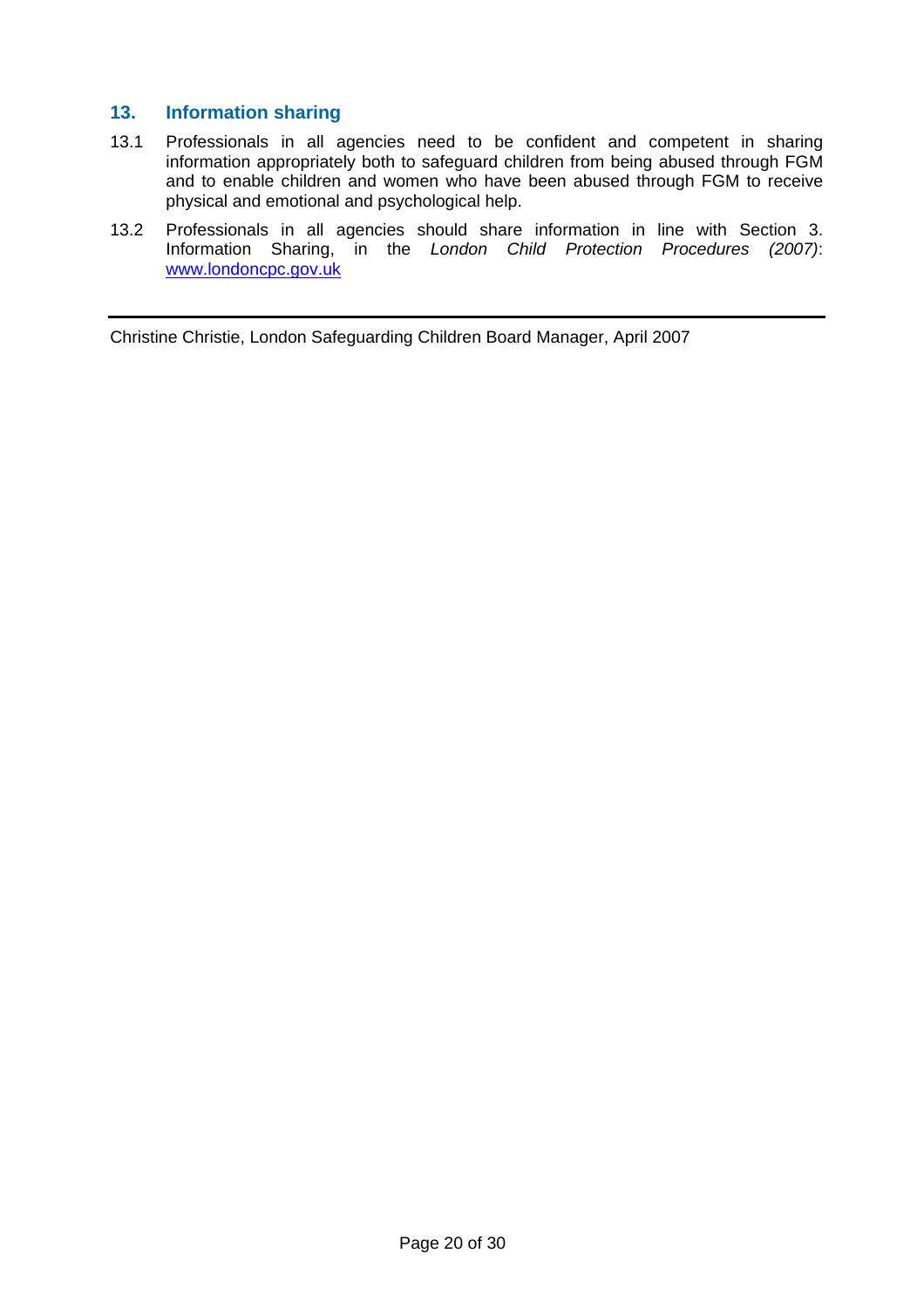## **13. Information sharing**

- 13.1 Professionals in all agencies need to be confident and competent in sharing information appropriately both to safeguard children from being abused through FGM and to enable children and women who have been abused through FGM to receive physical and emotional and psychological help.
- 13.2 Professionals in all agencies should share information in line with Section 3. Information Sharing, in the *London Child Protection Procedures (2007)*: [www.londoncpc.gov.uk](http://www.londoncpc.gov.uk/)

Christine Christie, London Safeguarding Children Board Manager, April 2007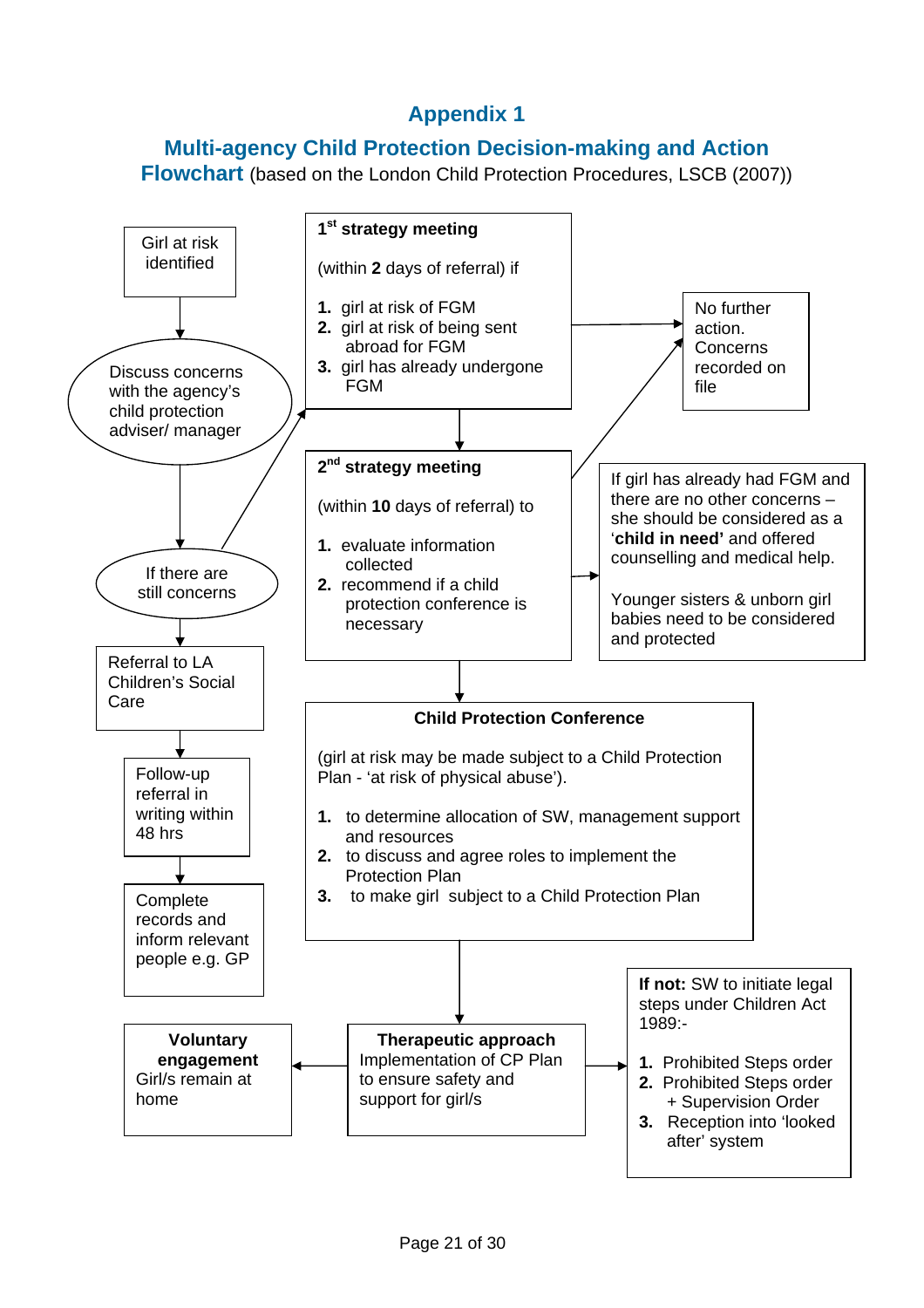**Multi-agency Child Protection Decision-making and Action** 

**Flowchart** (based on the London Child Protection Procedures, LSCB (2007))

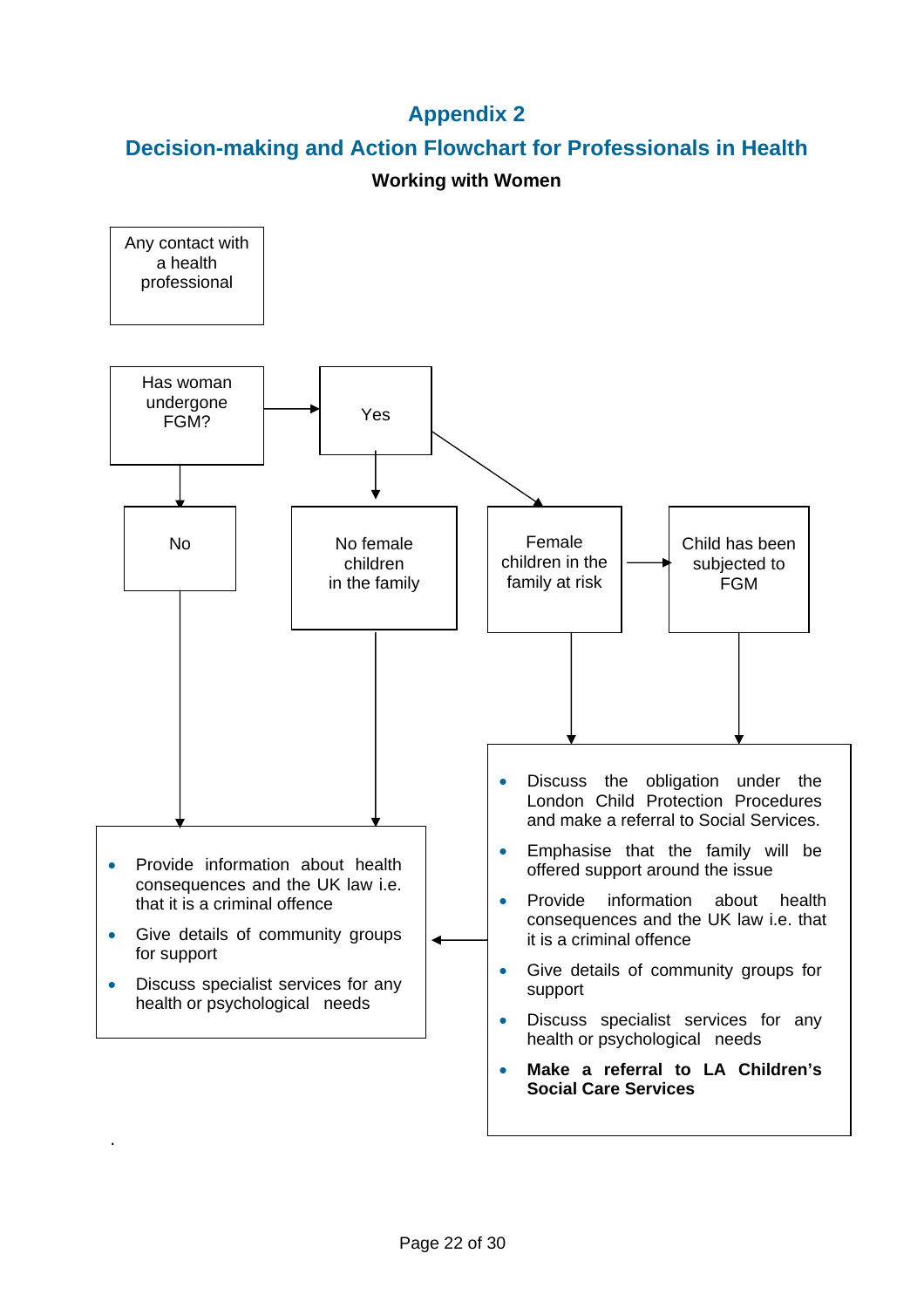# **Decision-making and Action Flowchart for Professionals in Health**

# **Working with Women**

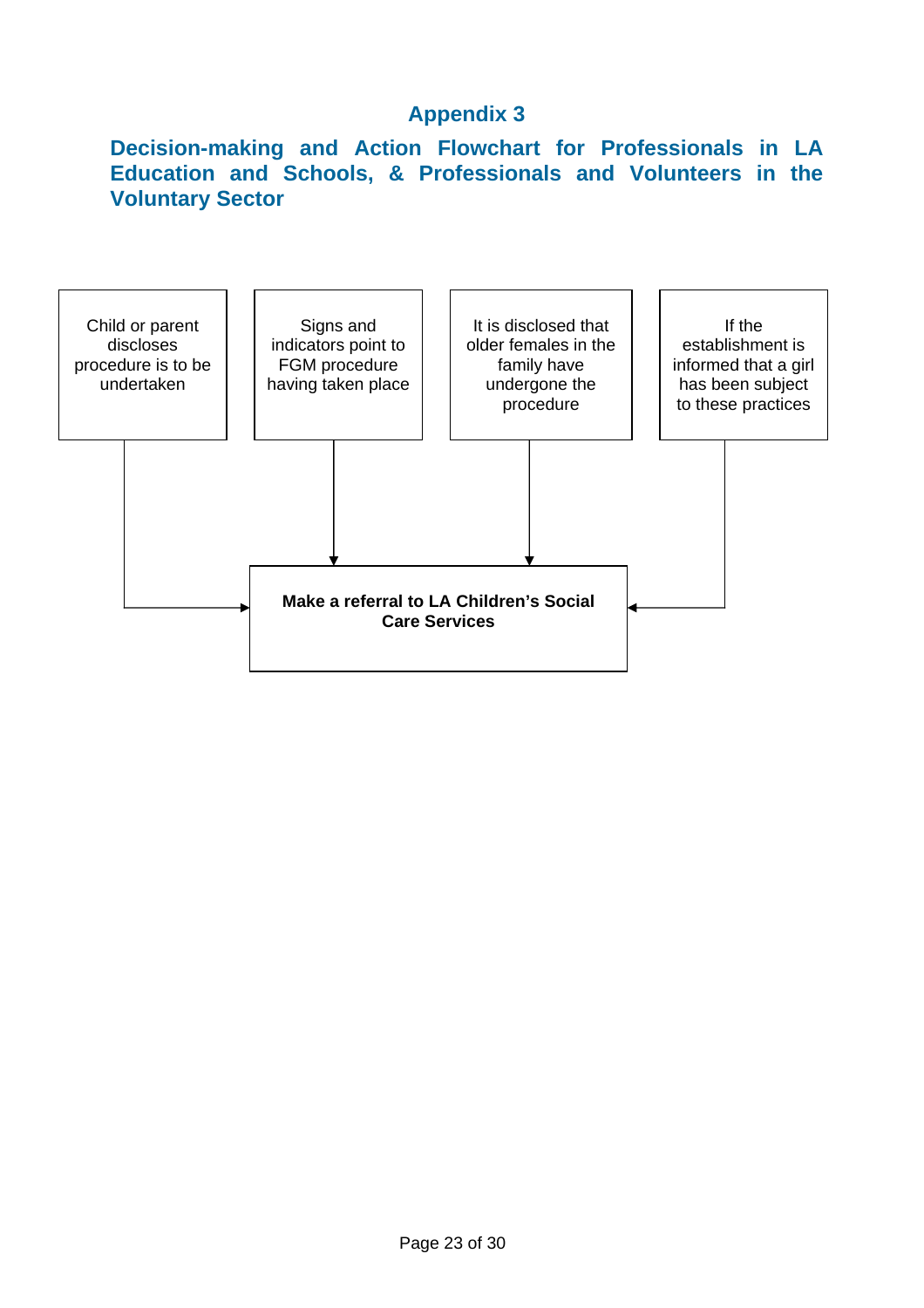# **Decision-making and Action Flowchart for Professionals in LA Education and Schools, & Professionals and Volunteers in the Voluntary Sector**

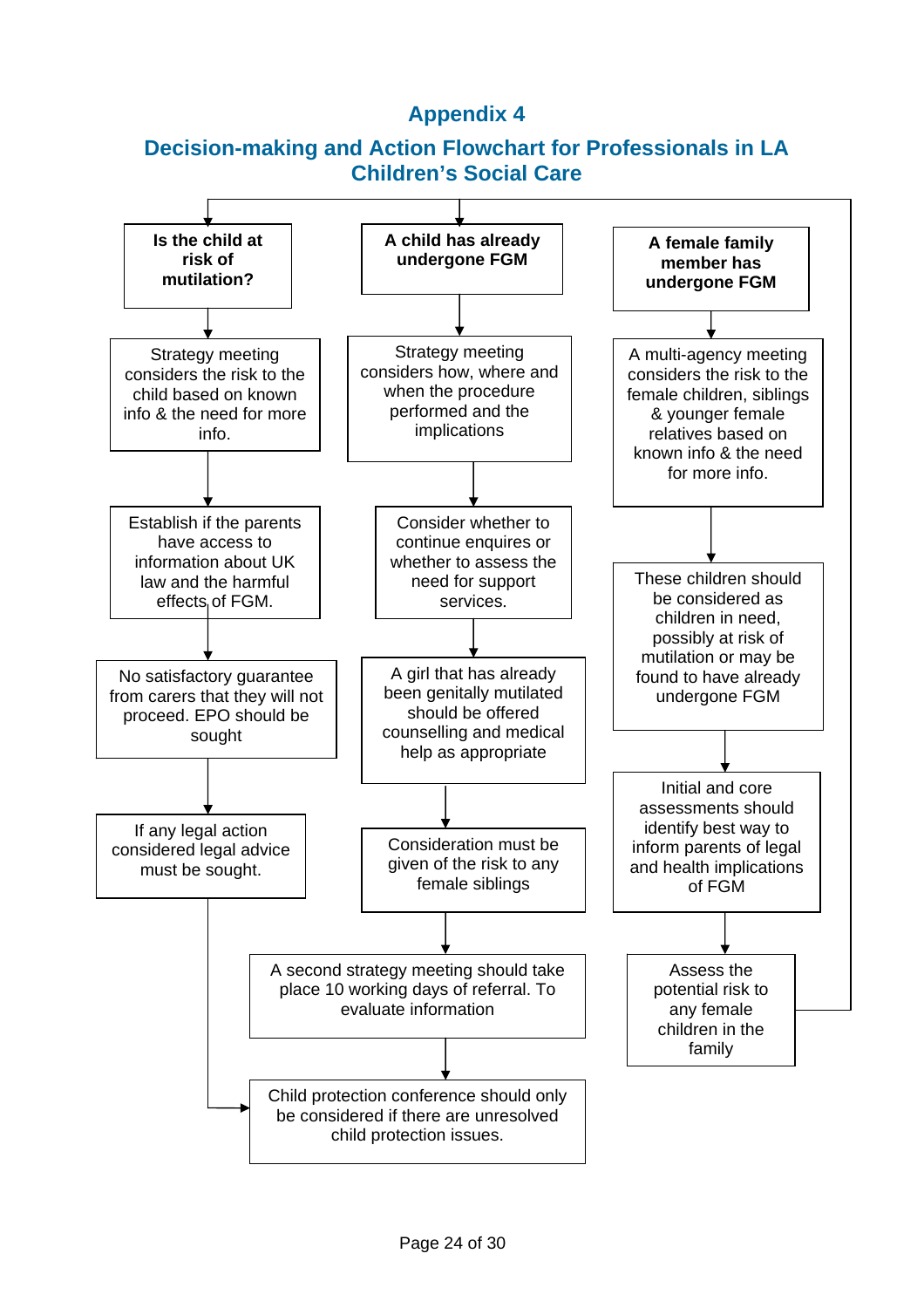# **Decision-making and Action Flowchart for Professionals in LA Children's Social Care**

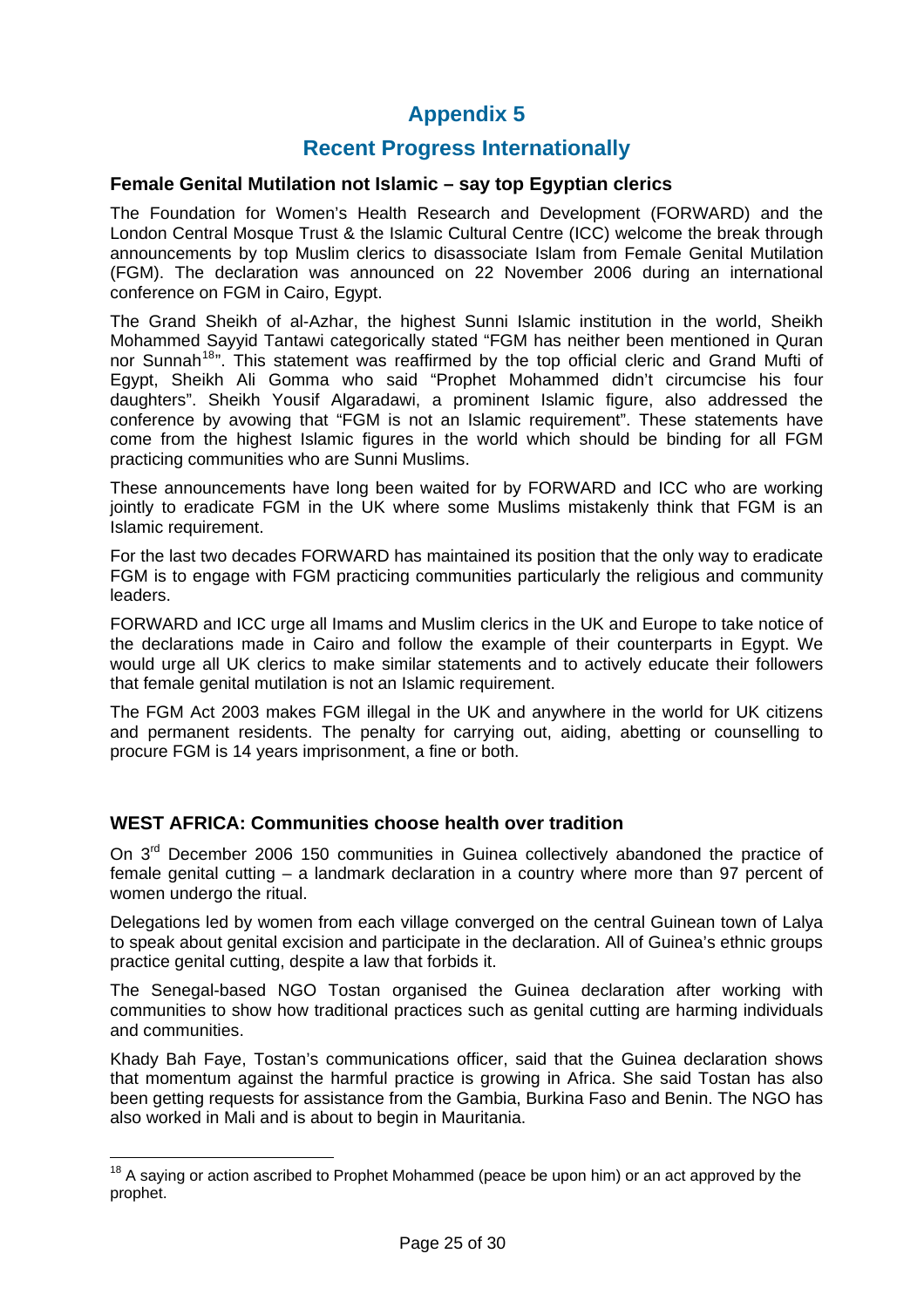# **Recent Progress Internationally**

#### **Female Genital Mutilation not Islamic – say top Egyptian clerics**

The Foundation for Women's Health Research and Development (FORWARD) and the London Central Mosque Trust & the Islamic Cultural Centre (ICC) welcome the break through announcements by top Muslim clerics to disassociate Islam from Female Genital Mutilation (FGM). The declaration was announced on 22 November 2006 during an international conference on FGM in Cairo, Egypt.

The Grand Sheikh of al-Azhar, the highest Sunni Islamic institution in the world, Sheikh Mohammed Sayyid Tantawi categorically stated "FGM has neither been mentioned in Quran nor Sunnah<sup>[18](#page-24-0)</sup>". This statement was reaffirmed by the top official cleric and Grand Mufti of Egypt, Sheikh Ali Gomma who said "Prophet Mohammed didn't circumcise his four daughters". Sheikh Yousif Algaradawi, a prominent Islamic figure, also addressed the conference by avowing that "FGM is not an Islamic requirement". These statements have come from the highest Islamic figures in the world which should be binding for all FGM practicing communities who are Sunni Muslims.

These announcements have long been waited for by FORWARD and ICC who are working jointly to eradicate FGM in the UK where some Muslims mistakenly think that FGM is an Islamic requirement.

For the last two decades FORWARD has maintained its position that the only way to eradicate FGM is to engage with FGM practicing communities particularly the religious and community leaders.

FORWARD and ICC urge all Imams and Muslim clerics in the UK and Europe to take notice of the declarations made in Cairo and follow the example of their counterparts in Egypt. We would urge all UK clerics to make similar statements and to actively educate their followers that female genital mutilation is not an Islamic requirement.

The FGM Act 2003 makes FGM illegal in the UK and anywhere in the world for UK citizens and permanent residents. The penalty for carrying out, aiding, abetting or counselling to procure FGM is 14 years imprisonment, a fine or both.

## **WEST AFRICA: Communities choose health over tradition**

 $\overline{a}$ 

On 3<sup>rd</sup> December 2006 150 communities in Guinea collectively abandoned the practice of female genital cutting – a landmark declaration in a country where more than 97 percent of women undergo the ritual.

Delegations led by women from each village converged on the central Guinean town of Lalya to speak about genital excision and participate in the declaration. All of Guinea's ethnic groups practice genital cutting, despite a law that forbids it.

The Senegal-based NGO Tostan organised the Guinea declaration after working with communities to show how traditional practices such as genital cutting are harming individuals and communities.

Khady Bah Faye, Tostan's communications officer, said that the Guinea declaration shows that momentum against the harmful practice is growing in Africa. She said Tostan has also been getting requests for assistance from the Gambia, Burkina Faso and Benin. The NGO has also worked in Mali and is about to begin in Mauritania.

<span id="page-24-0"></span> $18$  A saying or action ascribed to Prophet Mohammed (peace be upon him) or an act approved by the prophet.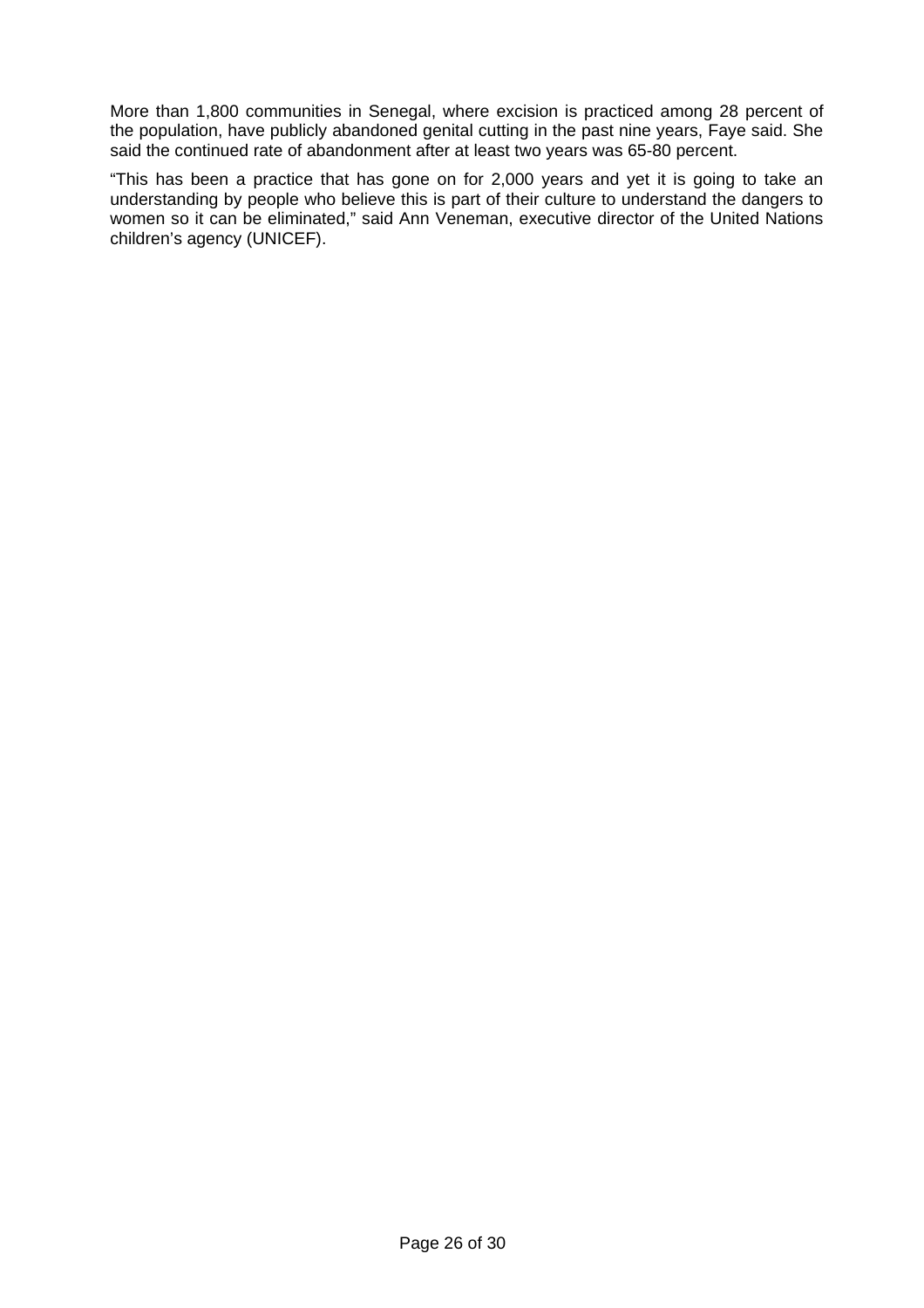More than 1,800 communities in Senegal, where excision is practiced among 28 percent of the population, have publicly abandoned genital cutting in the past nine years, Faye said. She said the continued rate of abandonment after at least two years was 65-80 percent.

"This has been a practice that has gone on for 2,000 years and yet it is going to take an understanding by people who believe this is part of their culture to understand the dangers to women so it can be eliminated," said Ann Veneman, executive director of the United Nations children's agency (UNICEF).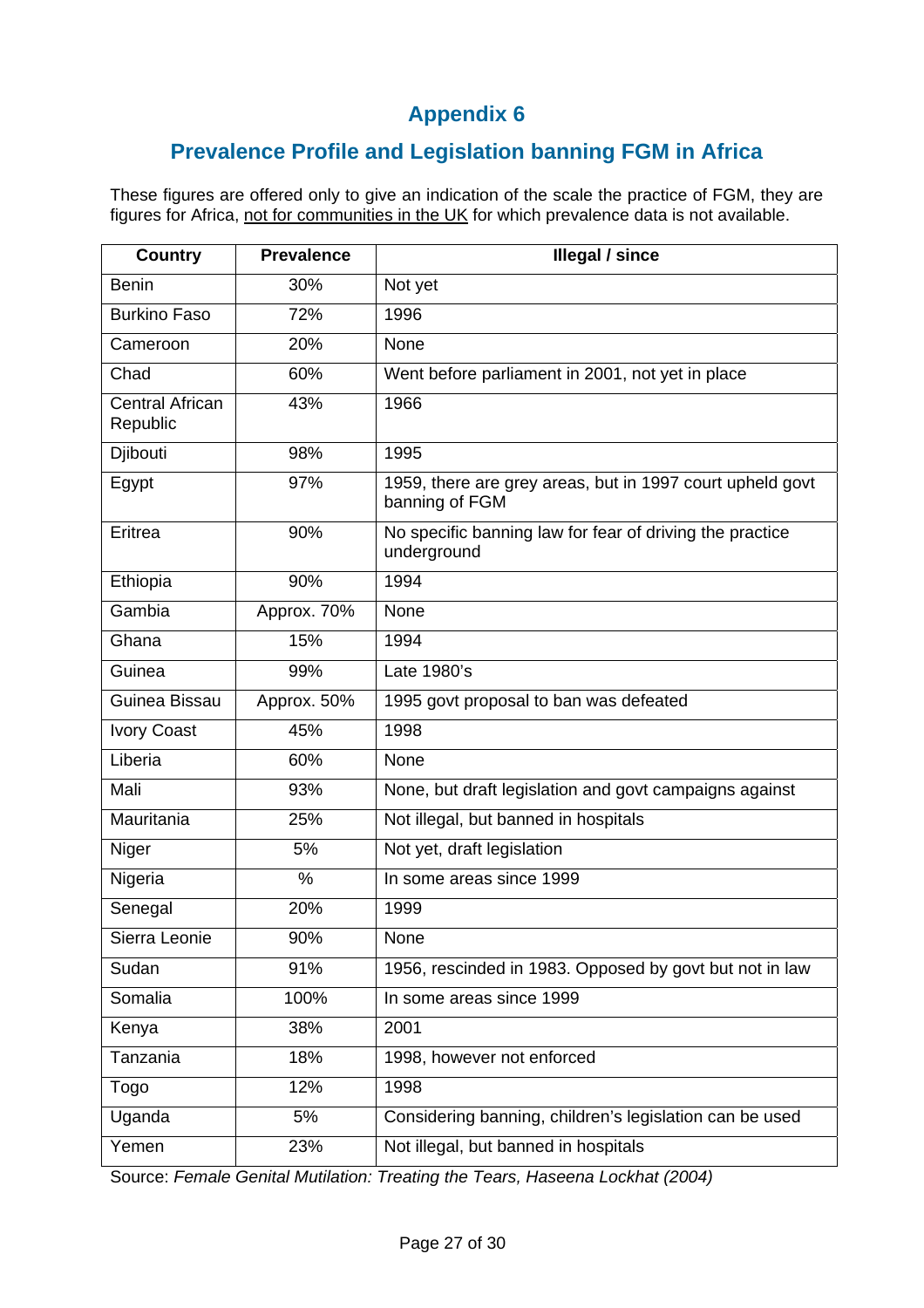# **Prevalence Profile and Legislation banning FGM in Africa**

These figures are offered only to give an indication of the scale the practice of FGM, they are figures for Africa, not for communities in the UK for which prevalence data is not available.

| <b>Country</b>                     | <b>Prevalence</b> | <b>Illegal / since</b>                                                      |
|------------------------------------|-------------------|-----------------------------------------------------------------------------|
| <b>Benin</b>                       | 30%               | Not yet                                                                     |
| <b>Burkino Faso</b>                | 72%               | 1996                                                                        |
| Cameroon                           | 20%               | None                                                                        |
| Chad                               | 60%               | Went before parliament in 2001, not yet in place                            |
| <b>Central African</b><br>Republic | 43%               | 1966                                                                        |
| Djibouti                           | 98%               | 1995                                                                        |
| Egypt                              | 97%               | 1959, there are grey areas, but in 1997 court upheld govt<br>banning of FGM |
| Eritrea                            | 90%               | No specific banning law for fear of driving the practice<br>underground     |
| Ethiopia                           | 90%               | 1994                                                                        |
| Gambia                             | Approx. 70%       | None                                                                        |
| Ghana                              | 15%               | 1994                                                                        |
| Guinea                             | 99%               | Late 1980's                                                                 |
| Guinea Bissau                      | Approx. 50%       | 1995 govt proposal to ban was defeated                                      |
| <b>Ivory Coast</b>                 | 45%               | 1998                                                                        |
| Liberia                            | 60%               | None                                                                        |
| Mali                               | 93%               | None, but draft legislation and govt campaigns against                      |
| Mauritania                         | 25%               | Not illegal, but banned in hospitals                                        |
| Niger                              | 5%                | Not yet, draft legislation                                                  |
| Nigeria                            | %                 | In some areas since 1999                                                    |
| Senegal                            | 20%               | 1999                                                                        |
| Sierra Leonie                      | 90%               | None                                                                        |
| Sudan                              | 91%               | 1956, rescinded in 1983. Opposed by govt but not in law                     |
| Somalia                            | 100%              | In some areas since 1999                                                    |
| Kenya                              | 38%               | 2001                                                                        |
| Tanzania                           | 18%               | 1998, however not enforced                                                  |
| Togo                               | 12%               | 1998                                                                        |
| Uganda                             | 5%                | Considering banning, children's legislation can be used                     |
| Yemen                              | 23%               | Not illegal, but banned in hospitals                                        |

Source: *Female Genital Mutilation: Treating the Tears, Haseena Lockhat (2004)*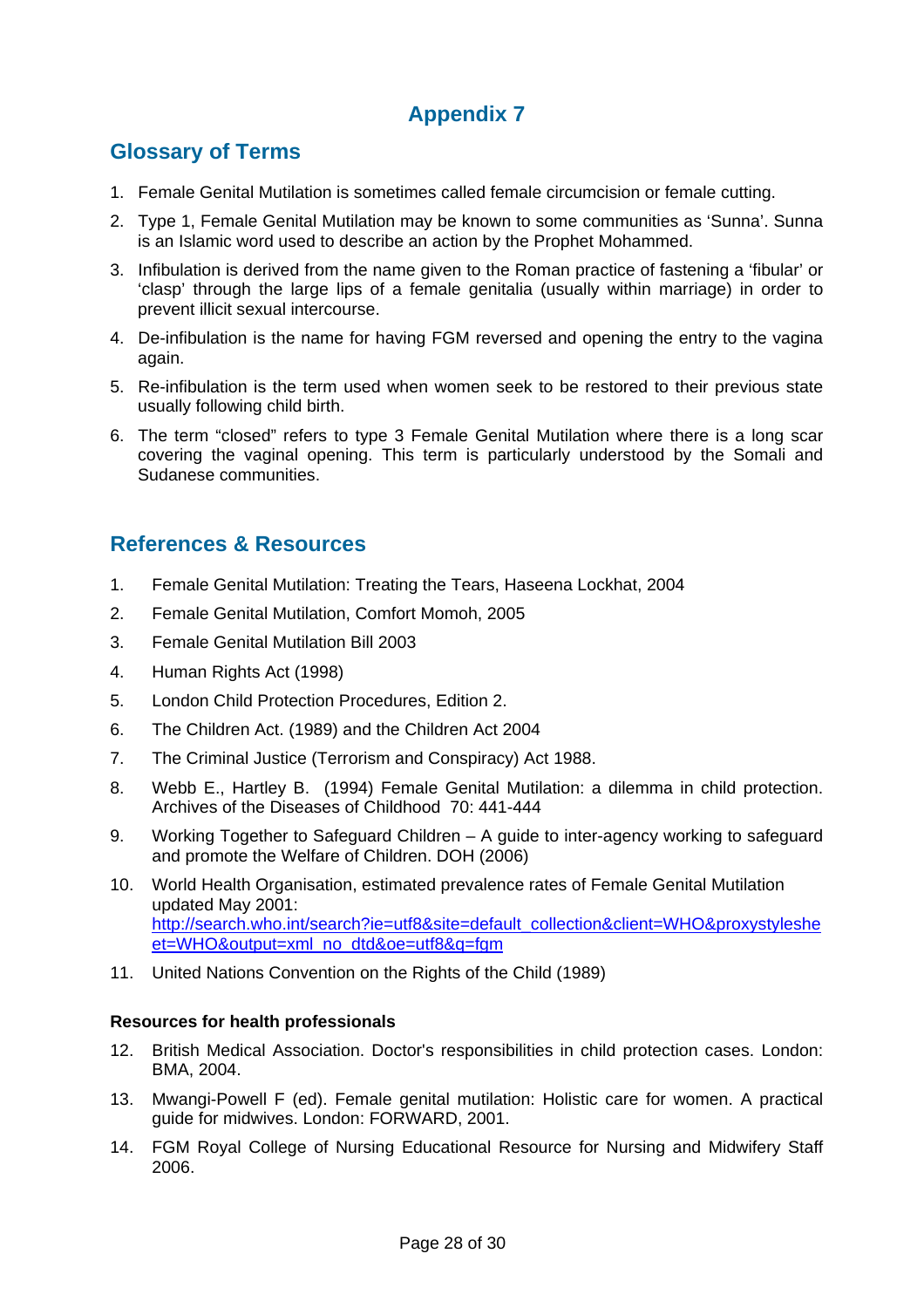# **Glossary of Terms**

- 1. Female Genital Mutilation is sometimes called female circumcision or female cutting.
- 2. Type 1, Female Genital Mutilation may be known to some communities as 'Sunna'. Sunna is an Islamic word used to describe an action by the Prophet Mohammed.
- 3. Infibulation is derived from the name given to the Roman practice of fastening a 'fibular' or 'clasp' through the large lips of a female genitalia (usually within marriage) in order to prevent illicit sexual intercourse.
- 4. De-infibulation is the name for having FGM reversed and opening the entry to the vagina again.
- 5. Re-infibulation is the term used when women seek to be restored to their previous state usually following child birth.
- 6. The term "closed" refers to type 3 Female Genital Mutilation where there is a long scar covering the vaginal opening. This term is particularly understood by the Somali and Sudanese communities.

# **References & Resources**

- 1. Female Genital Mutilation: Treating the Tears, Haseena Lockhat, 2004
- 2. Female Genital Mutilation, [Comfort Momoh,](http://www.worldcatlibraries.org/search?q=au%3AComfort+Momoh&qt=hot_author) 2005
- 3. Female Genital Mutilation Bill 2003
- 4. Human Rights Act (1998)
- 5. London Child Protection Procedures, Edition 2.
- 6. The Children Act. (1989) and the Children Act 2004
- 7. The Criminal Justice (Terrorism and Conspiracy) Act 1988.
- 8. Webb E., Hartley B. (1994) Female Genital Mutilation: a dilemma in child protection. Archives of the Diseases of Childhood 70: 441-444
- 9. Working Together to Safeguard Children A guide to inter-agency working to safeguard and promote the Welfare of Children. DOH (2006)
- 10. World Health Organisation, estimated prevalence rates of Female Genital Mutilation updated May 2001: [http://search.who.int/search?ie=utf8&site=default\\_collection&client=WHO&proxystyleshe](http://search.who.int/search?ie=utf8&site=default_collection&client=WHO&proxystylesheet=WHO&output=xml_no_dtd&oe=utf8&q=fgm) [et=WHO&output=xml\\_no\\_dtd&oe=utf8&q=fgm](http://search.who.int/search?ie=utf8&site=default_collection&client=WHO&proxystylesheet=WHO&output=xml_no_dtd&oe=utf8&q=fgm)
- 11. United Nations Convention on the Rights of the Child (1989)

#### **Resources for health professionals**

- 12. British Medical Association. Doctor's responsibilities in child protection cases. London: BMA, 2004.
- 13. Mwangi-Powell F (ed). Female genital mutilation: Holistic care for women. A practical guide for midwives. London: FORWARD, 2001.
- 14. FGM Royal College of Nursing Educational Resource for Nursing and Midwifery Staff 2006.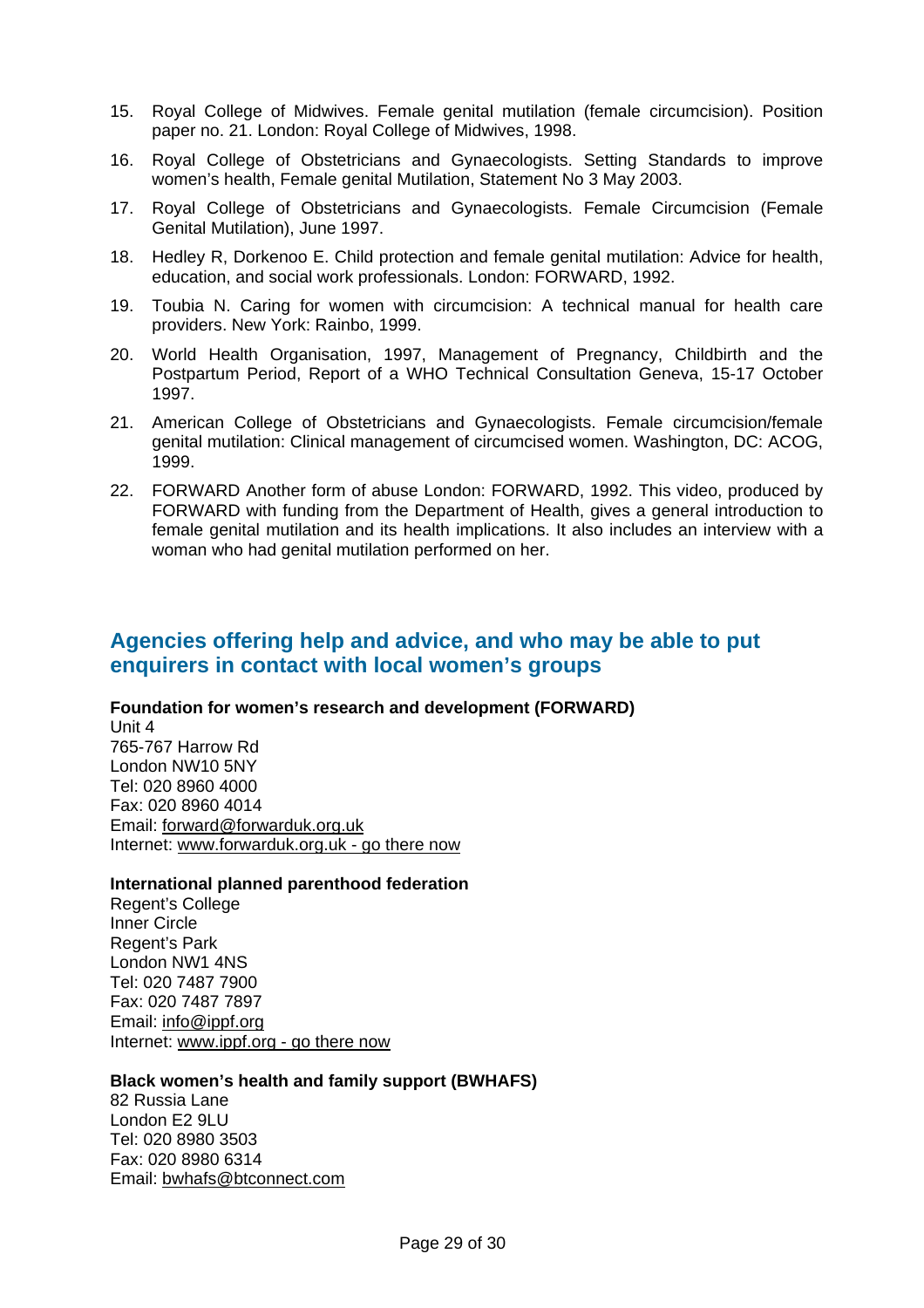- 15. Royal College of Midwives. Female genital mutilation (female circumcision). Position paper no. 21. London: Royal College of Midwives, 1998.
- 16. Royal College of Obstetricians and Gynaecologists. Setting Standards to improve women's health, Female genital Mutilation, Statement No 3 May 2003.
- 17. Royal College of Obstetricians and Gynaecologists. Female Circumcision (Female Genital Mutilation), June 1997.
- 18. Hedley R, Dorkenoo E. Child protection and female genital mutilation: Advice for health, education, and social work professionals. London: FORWARD, 1992.
- 19. Toubia N. Caring for women with circumcision: A technical manual for health care providers. New York: Rainbo, 1999.
- 20. World Health Organisation, 1997, Management of Pregnancy, Childbirth and the Postpartum Period, Report of a WHO Technical Consultation Geneva, 15-17 October 1997.
- 21. American College of Obstetricians and Gynaecologists. Female circumcision/female genital mutilation: Clinical management of circumcised women. Washington, DC: ACOG, 1999.
- 22. FORWARD Another form of abuse London: FORWARD, 1992. This video, produced by FORWARD with funding from the Department of Health, gives a general introduction to female genital mutilation and its health implications. It also includes an interview with a woman who had genital mutilation performed on her.

# **Agencies offering help and advice, and who may be able to put enquirers in contact with local women's groups**

#### **Foundation for women's research and development (FORWARD)**

Unit 4 765-767 Harrow Rd London NW10 5NY Tel: 020 8960 4000 Fax: 020 8960 4014 Email: [forward@forwarduk.org.uk](mailto:forward@forwarduk.org.uk) Internet: [www.forwarduk.org.uk - go there now](http://www.forwarduk.org.uk/)

#### **International planned parenthood federation**

Regent's College Inner Circle Regent's Park London NW1 4NS Tel: 020 7487 7900 Fax: 020 7487 7897 Email: [info@ippf.org](mailto:info@ippf.org) Internet: [www.ippf.org - go there now](http://www.ippf.org/)

#### **Black women's health and family support (BWHAFS)**

82 Russia Lane London E2 9LU Tel: 020 8980 3503 Fax: 020 8980 6314 Email: [bwhafs@btconnect.com](mailto:bwhafs@btconnect.com)